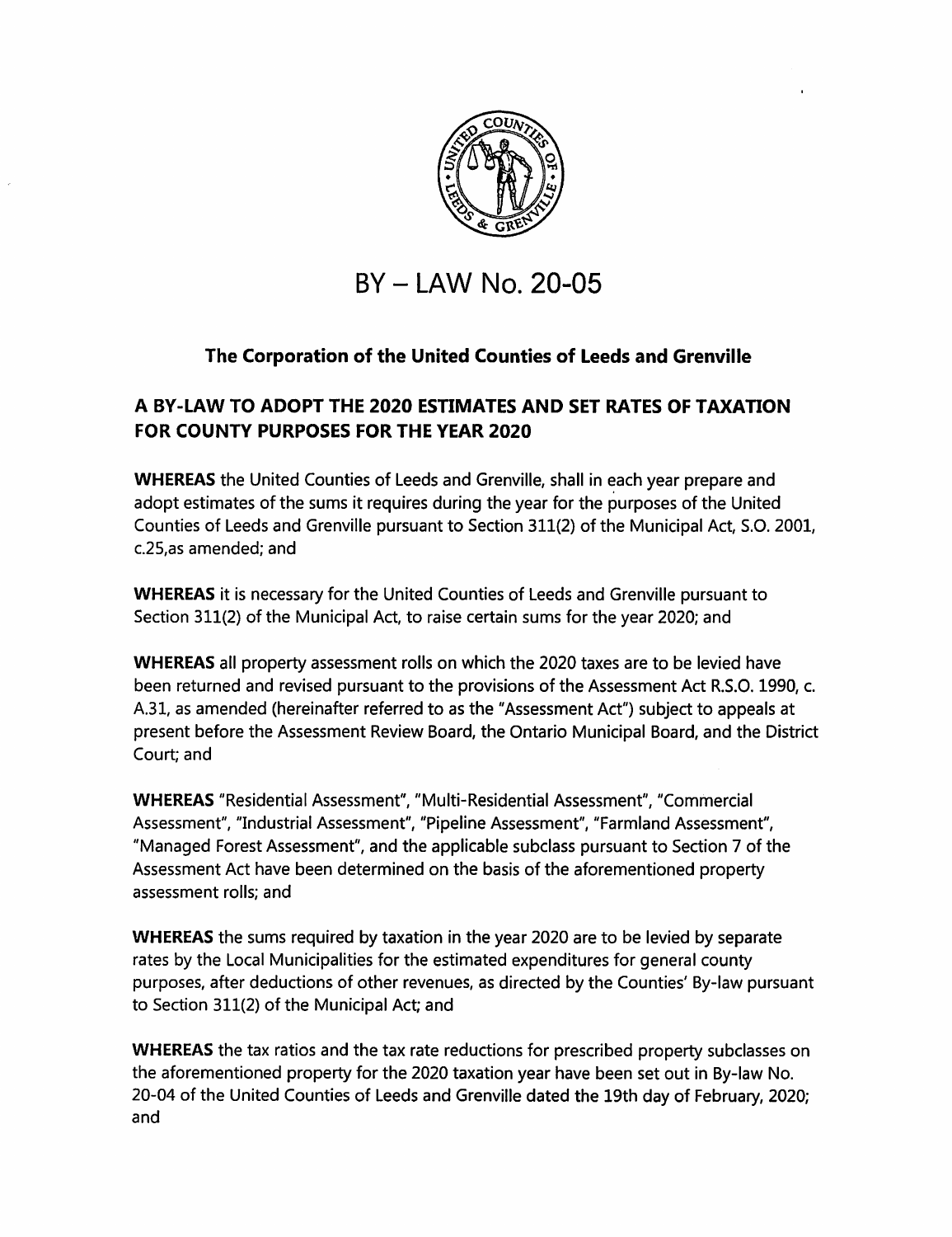

# **BY - LAW No. 20-05**

## **The Corporation of the United Counties of Leeds and Grenville**

### **A BY-LAW TO ADOPT THE 2020 ESTIMATES AND SET RATES OF TAXATION FOR COUNTY PURPOSES FOR THE YEAR 2020**

**WHEREAS** the United Counties of Leeds and Grenville, shall in each year prepare and adopt estimates of the sums it requires during the year for the purposes of the United Counties of Leeds and Grenville pursuant to Section 311(2) of the Municipal Act, S.O. 2001, c.25,as amended; and

**WHEREAS** it is necessary for the United Counties of Leeds and Grenville pursuant to Section 311(2) of the Municipal Act, to raise certain sums for the year 2020; and

**WHEREAS** all property assessment rolls on which the 2020 taxes are to be levied have been returned and revised pursuant to the provisions of the Assessment Act R.S.O. 1990, c. A.31, as amended (hereinafter referred to as the "Assessment Act") subject to appeals at present before the Assessment Review Board, the Ontario Municipal Board, and the District Court; and

**WHEREAS** "Residential Assessment", "Multi-Residential Assessment", "Commercial Assessment", "Industrial Assessment", "Pipeline Assessment", "Farmland Assessment", "Managed Forest Assessment", and the applicable subclass pursuant to Section 7 of the Assessment Act have been determined on the basis of the aforementioned property assessment rolls; and

**WHEREAS** the sums required by taxation in the year 2020 are to be levied by separate rates by the Local Municipalities for the estimated expenditures for general county purposes, after deductions of other revenues, as directed by the Counties' By-law pursuant to Section 311(2) of the Municipal Act; and

**WHEREAS** the tax ratios and the tax rate reductions for prescribed property subclasses on the aforementioned property for the 2020 taxation year have been set out in By-law No. 20-04 of the United Counties of Leeds and Grenville dated the 19th day of February, 2020; and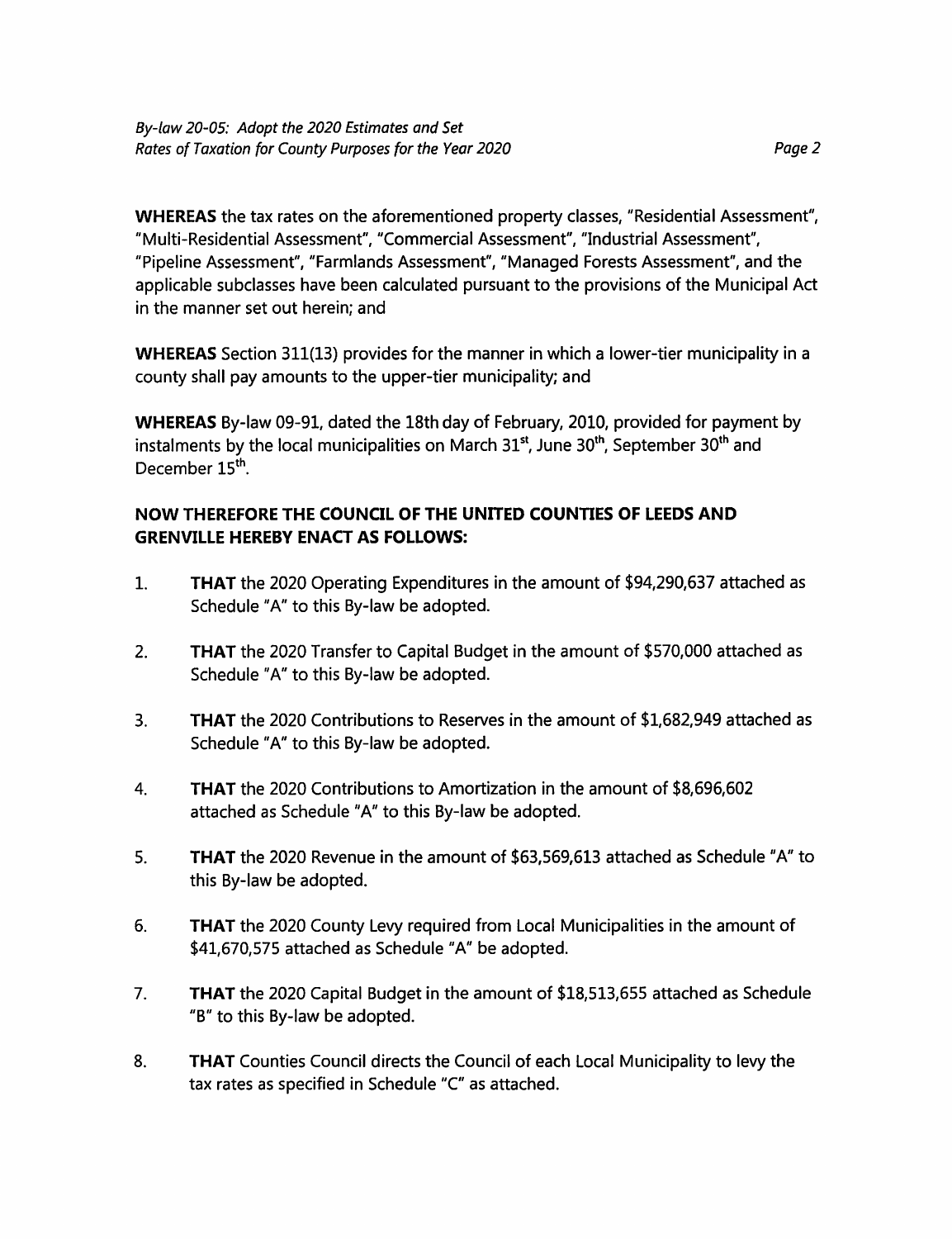**WHEREAS** the tax rates on the aforementioned property classes, "Residential Assessment", "Multi-Residential Assessment", "Commercial Assessment", "Industrial Assessment", "Pipeline Assessment", "Farmlands Assessment", "Managed Forests Assessment", and the applicable subclasses have been calculated pursuant to the provisions of the Municipal Act in the manner set out herein; and

**WHEREAS** Section 311(13) provides for the manner in which a lower-tier municipality in a county shall pay amounts to the upper-tier municipality; and

**WHEREAS** By-law 09-91, dated the 18th day of February, 2010, provided for payment by instalments by the local municipalities on March 31<sup>st</sup>, June 30<sup>th</sup>, September 30<sup>th</sup> and December 15th.

### **NOW THEREFORE THE COUNCIL OF THE UNITED COUNTIES OF LEEDS AND GRENVILLE HEREBY ENACT AS FOLLOWS:**

- **1. THAT** the 2020 Operating Expenditures in the amount of \$94,290,637 attached as Schedule "A" to this By-law be adopted.
- 2. **THAT** the 2020 Transfer to Capital Budget in the amount of \$570,000 attached as Schedule "A" to this By-law be adopted.
- 3. **THAT** the 2020 Contributions to Reserves in the amount of \$1,682,949 attached as Schedule "A" to this By-law be adopted.
- 4. **THAT** the 2020 Contributions to Amortization in the amount of \$8,696,602 attached as Schedule "A" to this By-law be adopted.
- 5. **THAT** the 2020 Revenue in the amount of \$63,569,613 attached as Schedule "A" to this By-law be adopted.
- 6. **THAT** the 2020 County Levy required from Local Municipalities in the amount of \$41,670,575 attached as Schedule "A" be adopted.
- 7. **THAT** the 2020 Capital Budget in the amount of \$18,513,655 attached as Schedule "B" to this By-law be adopted.
- 8. **THAT** Counties Council directs the Council of each Local Municipality to levy the tax rates as specified in Schedule "C" as attached.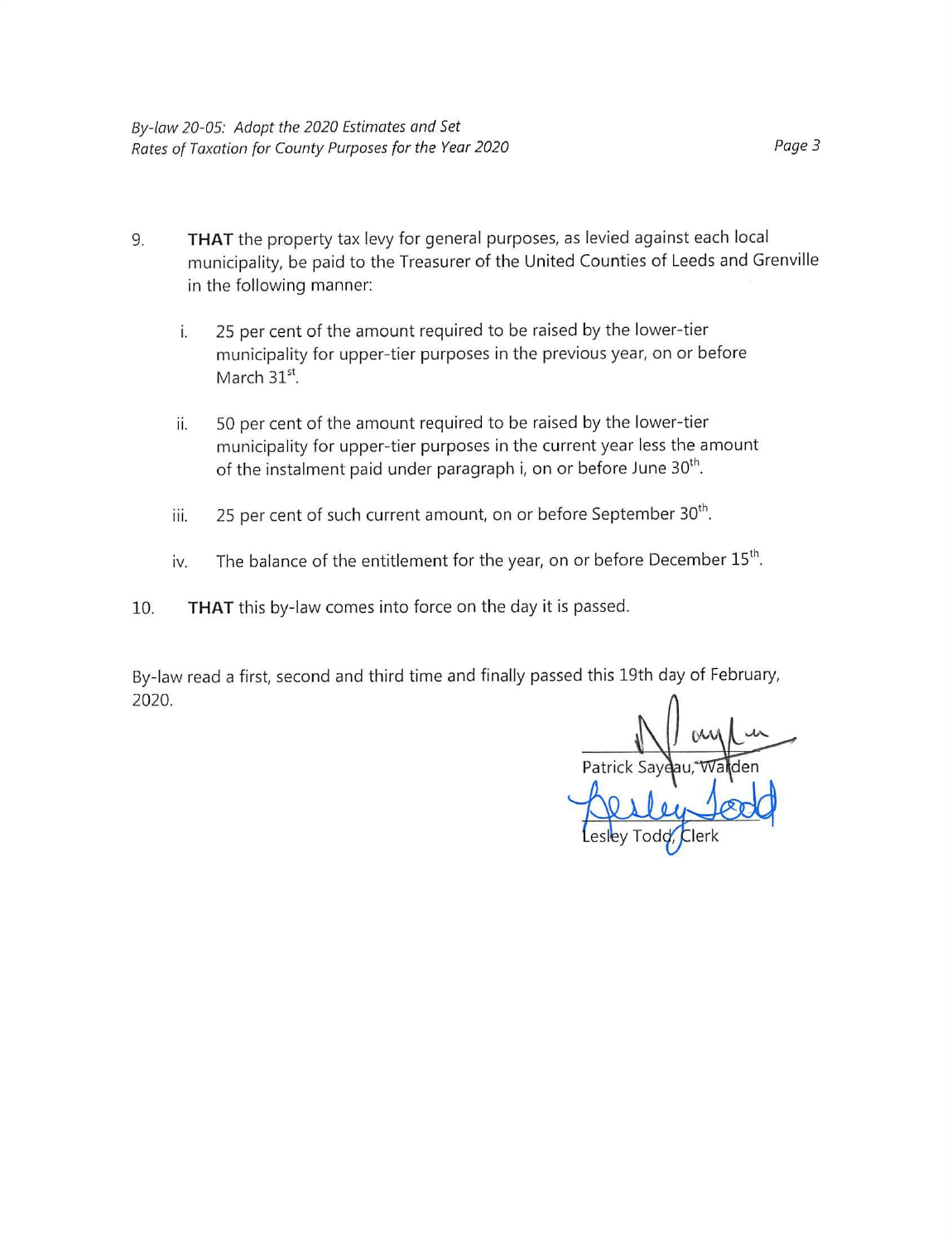- 9. **THAT** the property tax levy for general purposes, as levied against each local municipality, be paid to the Treasurer of the United Counties of Leeds and Grenville in the following manner:
	- i. 25 per cent of the amount required to be raised by the lower-tier municipality for upper-tier purposes in the previous year, on or before March  $31^{\rm st}$
	- ii. 50 per cent of the amount required to be raised by the lower-tier municipality for upper-tier purposes in the current year less the amount of the instalment paid under paragraph i, on or before June 30<sup>th</sup>.
	- iii. 25 per cent of such current amount, on or before September  $30<sup>th</sup>$ .
	- iv. The balance of the entitlement for the year, on or before December  $15<sup>th</sup>$ .
- 10. **THAT** this by-law comes into force on the day it is passed.

By-law read a first, second and third time and finally passed this 19th day of February, 2020.

Patrick Saye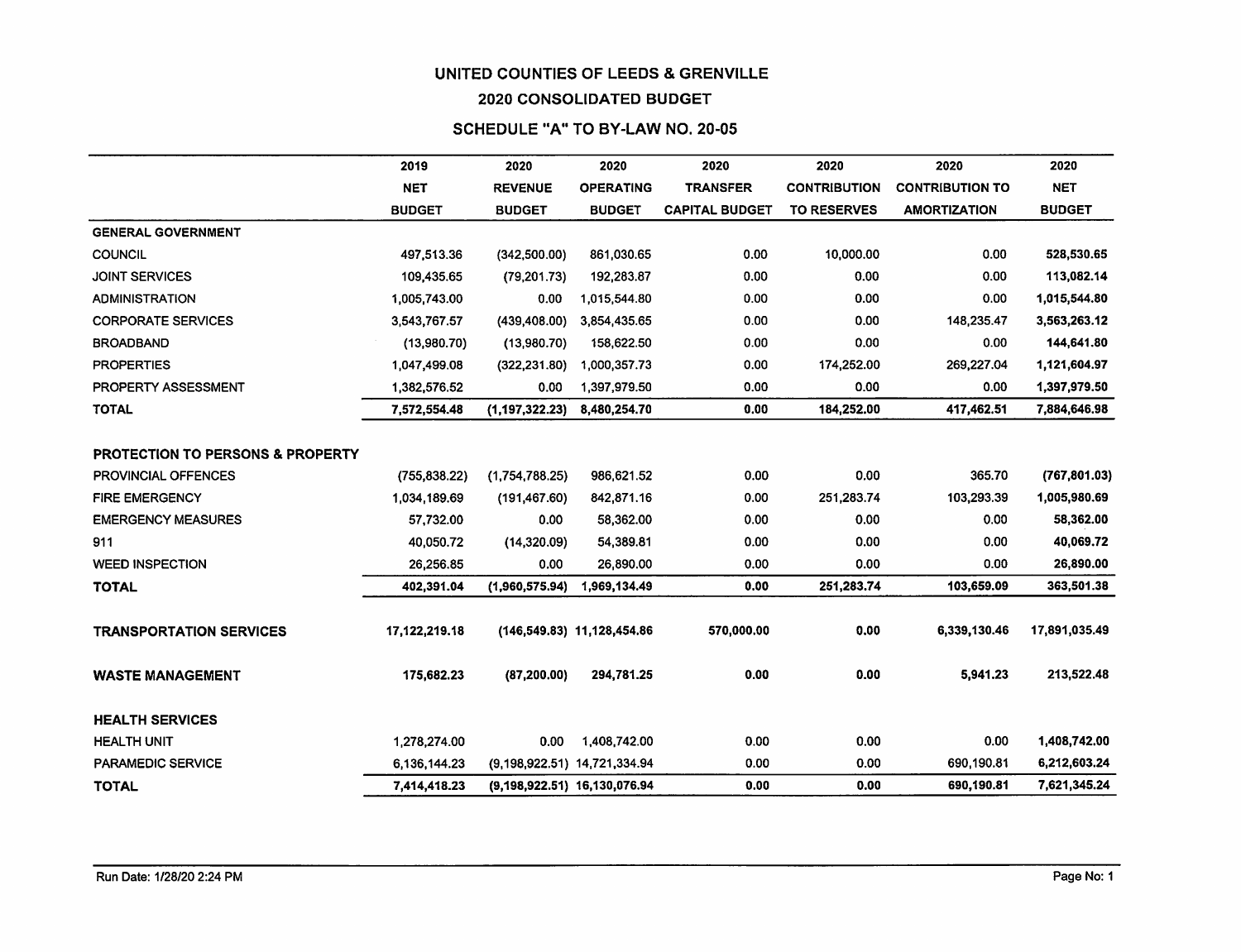#### **2020 CONSOLIDATED** BUDGET

#### **SCHEDULE "A" TO BY-LAW NO. 20-05**

|                                              | 2019          | 2020             | 2020                         | 2020                  | 2020                | 2020                   | 2020          |
|----------------------------------------------|---------------|------------------|------------------------------|-----------------------|---------------------|------------------------|---------------|
|                                              | <b>NET</b>    | <b>REVENUE</b>   | <b>OPERATING</b>             | <b>TRANSFER</b>       | <b>CONTRIBUTION</b> | <b>CONTRIBUTION TO</b> | <b>NET</b>    |
|                                              | <b>BUDGET</b> | <b>BUDGET</b>    | <b>BUDGET</b>                | <b>CAPITAL BUDGET</b> | <b>TO RESERVES</b>  | <b>AMORTIZATION</b>    | <b>BUDGET</b> |
| <b>GENERAL GOVERNMENT</b>                    |               |                  |                              |                       |                     |                        |               |
| <b>COUNCIL</b>                               | 497,513.36    | (342,500.00)     | 861,030.65                   | 0.00                  | 10,000.00           | 0.00                   | 528,530.65    |
| <b>JOINT SERVICES</b>                        | 109,435.65    | (79, 201.73)     | 192,283.87                   | 0.00                  | 0.00                | 0.00                   | 113,082.14    |
| <b>ADMINISTRATION</b>                        | 1,005,743.00  | 0.00             | 1,015,544.80                 | 0.00                  | 0.00                | 0.00                   | 1,015,544.80  |
| <b>CORPORATE SERVICES</b>                    | 3,543,767.57  | (439, 408.00)    | 3,854,435.65                 | 0.00                  | 0.00                | 148,235.47             | 3,563,263.12  |
| <b>BROADBAND</b>                             | (13,980.70)   | (13,980.70)      | 158,622.50                   | 0.00                  | 0.00                | 0.00                   | 144,641.80    |
| <b>PROPERTIES</b>                            | 1,047,499.08  | (322, 231.80)    | 1,000,357.73                 | 0.00                  | 174,252.00          | 269,227.04             | 1,121,604.97  |
| PROPERTY ASSESSMENT                          | 1,382,576.52  | 0.00             | 1,397,979.50                 | 0.00                  | 0.00                | 0.00                   | 1,397,979.50  |
| <b>TOTAL</b>                                 | 7,572,554.48  | (1, 197, 322.23) | 8,480,254.70                 | 0.00                  | 184,252.00          | 417,462.51             | 7,884,646.98  |
|                                              |               |                  |                              |                       |                     |                        |               |
| <b>PROTECTION TO PERSONS &amp; PROPERTY</b>  |               |                  |                              |                       |                     |                        |               |
| <b>PROVINCIAL OFFENCES</b>                   | (755, 838.22) | (1,754,788.25)   | 986,621.52                   | 0.00                  | 0.00                | 365.70                 | (767, 801.03) |
| <b>FIRE EMERGENCY</b>                        | 1,034,189.69  | (191, 467.60)    | 842,871.16                   | 0.00                  | 251,283.74          | 103,293.39             | 1,005,980.69  |
| <b>EMERGENCY MEASURES</b>                    | 57,732.00     | 0.00             | 58,362.00                    | 0.00                  | 0.00                | 0.00                   | 58,362.00     |
| 911                                          | 40,050.72     | (14,320.09)      | 54,389.81                    | 0.00                  | 0.00                | 0.00                   | 40,069.72     |
| <b>WEED INSPECTION</b>                       | 26,256.85     | 0.00             | 26,890.00                    | 0.00                  | 0.00                | 0.00                   | 26,890.00     |
| <b>TOTAL</b>                                 | 402,391.04    | (1,960,575.94)   | 1,969,134.49                 | 0.00                  | 251,283.74          | 103,659.09             | 363,501.38    |
|                                              |               |                  |                              |                       |                     |                        |               |
| <b>TRANSPORTATION SERVICES</b>               | 17,122,219.18 |                  | (146,549.83) 11,128,454.86   | 570,000.00            | 0.00                | 6,339,130.46           | 17,891,035.49 |
|                                              |               |                  |                              |                       |                     |                        |               |
| <b>WASTE MANAGEMENT</b>                      | 175,682.23    | (87, 200.00)     | 294,781.25                   | 0.00                  | 0.00                | 5,941.23               | 213,522.48    |
|                                              |               |                  |                              |                       |                     |                        |               |
| <b>HEALTH SERVICES</b><br><b>HEALTH UNIT</b> |               | 0.00             |                              | 0.00                  | 0.00                | 0.00                   |               |
|                                              | 1,278,274.00  |                  | 1,408,742.00                 |                       |                     |                        | 1,408,742.00  |
| <b>PARAMEDIC SERVICE</b>                     | 6,136,144.23  |                  | (9,198,922.51) 14,721,334.94 | 0.00                  | 0.00                | 690,190.81             | 6,212,603.24  |
| <b>TOTAL</b>                                 | 7,414,418.23  |                  | (9,198,922.51) 16,130,076.94 | 0.00                  | 0.00                | 690,190.81             | 7,621,345.24  |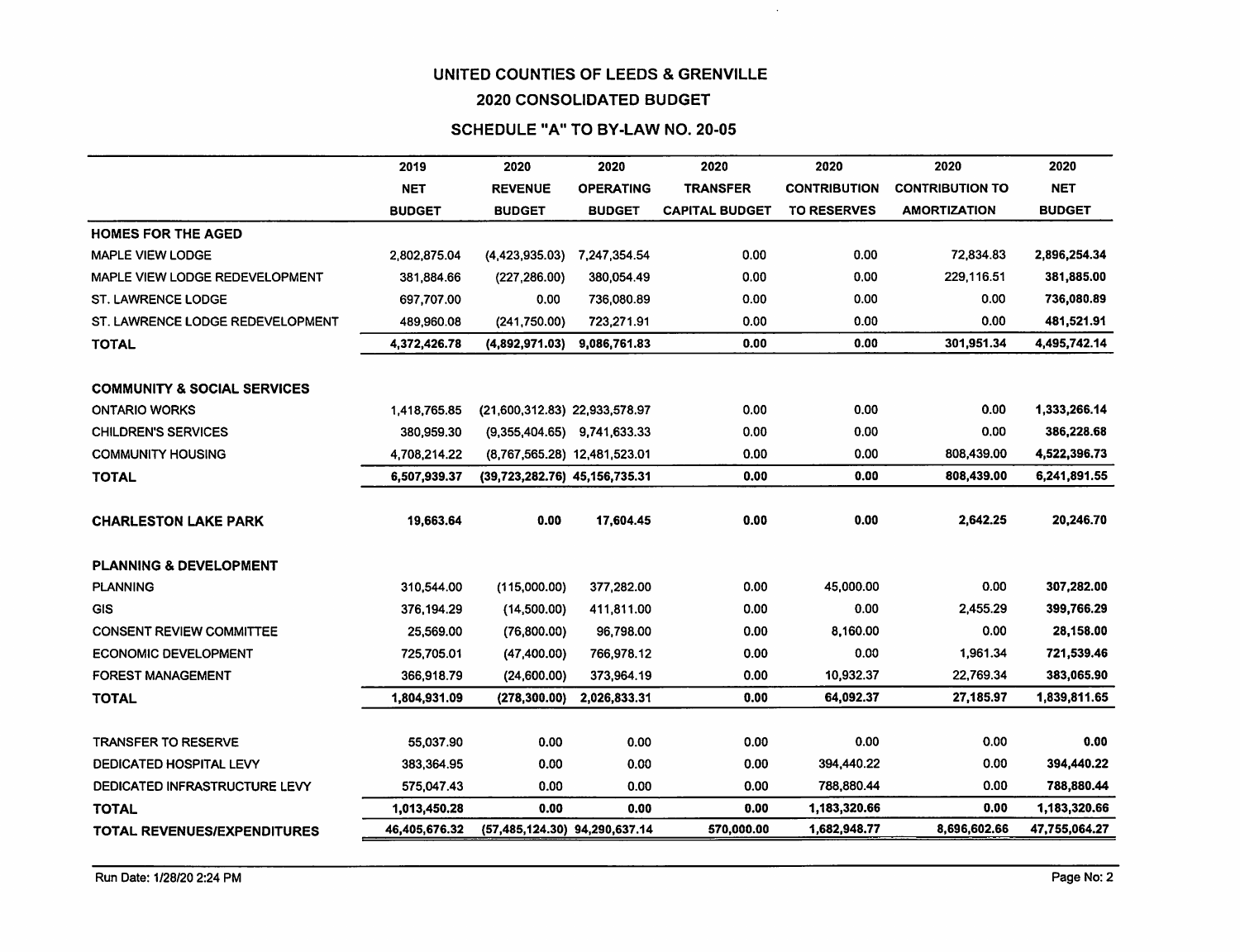$\sim$ 

#### **2020 CONSOLIDATED** BUDGET

#### SCHEDULE "A" TO **BY-LAW NO. 20-05**

|                                        | 2019          | 2020                          | 2020             | 2020                  | 2020                | 2020                   | 2020          |
|----------------------------------------|---------------|-------------------------------|------------------|-----------------------|---------------------|------------------------|---------------|
|                                        | <b>NET</b>    | <b>REVENUE</b>                | <b>OPERATING</b> | <b>TRANSFER</b>       | <b>CONTRIBUTION</b> | <b>CONTRIBUTION TO</b> | <b>NET</b>    |
|                                        | <b>BUDGET</b> | <b>BUDGET</b>                 | <b>BUDGET</b>    | <b>CAPITAL BUDGET</b> | <b>TO RESERVES</b>  | <b>AMORTIZATION</b>    | <b>BUDGET</b> |
| <b>HOMES FOR THE AGED</b>              |               |                               |                  |                       |                     |                        |               |
| <b>MAPLE VIEW LODGE</b>                | 2,802,875.04  | (4, 423, 935.03)              | 7,247,354.54     | 0.00                  | 0.00                | 72,834.83              | 2,896,254.34  |
| MAPLE VIEW LODGE REDEVELOPMENT         | 381,884.66    | (227, 286.00)                 | 380,054.49       | 0.00                  | 0.00                | 229.116.51             | 381,885.00    |
| <b>ST. LAWRENCE LODGE</b>              | 697,707.00    | 0.00                          | 736,080.89       | 0.00                  | 0.00                | 0.00                   | 736,080.89    |
| ST. LAWRENCE LODGE REDEVELOPMENT       | 489,960.08    | (241,750.00)                  | 723,271.91       | 0.00                  | 0.00                | 0.00                   | 481,521.91    |
| <b>TOTAL</b>                           | 4,372,426.78  | (4,892,971.03)                | 9,086,761.83     | 0.00                  | 0.00                | 301,951.34             | 4,495,742.14  |
| <b>COMMUNITY &amp; SOCIAL SERVICES</b> |               |                               |                  |                       |                     |                        |               |
| <b>ONTARIO WORKS</b>                   | 1,418,765.85  | (21,600,312.83) 22,933,578.97 |                  | 0.00                  | 0.00                | 0.00                   | 1,333,266.14  |
| <b>CHILDREN'S SERVICES</b>             | 380.959.30    | $(9,355,404.65)$ 9,741,633.33 |                  | 0.00                  | 0.00                | 0.00                   | 386,228.68    |
| <b>COMMUNITY HOUSING</b>               | 4,708,214.22  | (8.767.565.28) 12.481.523.01  |                  | 0.00                  | 0.00                | 808,439.00             | 4,522,396.73  |
| <b>TOTAL</b>                           | 6,507,939.37  | (39,723,282.76) 45,156,735.31 |                  | 0.00                  | 0.00                | 808.439.00             | 6,241,891.55  |
| <b>CHARLESTON LAKE PARK</b>            | 19,663.64     | 0.00                          | 17,604.45        | 0.00                  | 0.00                | 2,642.25               | 20,246.70     |
| <b>PLANNING &amp; DEVELOPMENT</b>      |               |                               |                  |                       |                     |                        |               |
| <b>PLANNING</b>                        | 310,544.00    | (115,000.00)                  | 377,282.00       | 0.00                  | 45,000.00           | 0.00                   | 307,282.00    |
| GIS                                    | 376,194.29    | (14,500.00)                   | 411,811.00       | 0.00                  | 0.00                | 2,455.29               | 399,766.29    |
| <b>CONSENT REVIEW COMMITTEE</b>        | 25,569.00     | (76,800.00)                   | 96,798.00        | 0.00                  | 8,160.00            | 0.00                   | 28,158.00     |
| <b>ECONOMIC DEVELOPMENT</b>            | 725,705.01    | (47, 400.00)                  | 766,978.12       | 0.00                  | 0.00                | 1,961.34               | 721,539.46    |
| <b>FOREST MANAGEMENT</b>               | 366,918.79    | (24,600.00)                   | 373,964.19       | 0.00                  | 10,932.37           | 22,769.34              | 383,065.90    |
| <b>TOTAL</b>                           | 1,804,931.09  | (278, 300.00)                 | 2,026,833.31     | 0.00                  | 64,092.37           | 27,185.97              | 1,839,811.65  |
| <b>TRANSFER TO RESERVE</b>             | 55,037.90     | 0.00                          | 0.00             | 0.00                  | 0.00                | 0.00                   | 0.00          |
| DEDICATED HOSPITAL LEVY                | 383,364.95    | 0.00                          | 0.00             | 0.00                  | 394,440.22          | 0.00                   | 394,440.22    |
| DEDICATED INFRASTRUCTURE LEVY          | 575,047.43    | 0.00                          | 0.00             | 0.00                  | 788,880.44          | 0.00                   | 788,880.44    |
| <b>TOTAL</b>                           | 1,013,450.28  | 0.00                          | 0.00             | 0.00                  | 1,183,320.66        | 0.00                   | 1,183,320.66  |
| TOTAL REVENUES/EXPENDITURES            | 46,405,676.32 | (57,485,124.30) 94,290,637.14 |                  | 570,000.00            | 1,682,948.77        | 8,696,602.66           | 47,755,064.27 |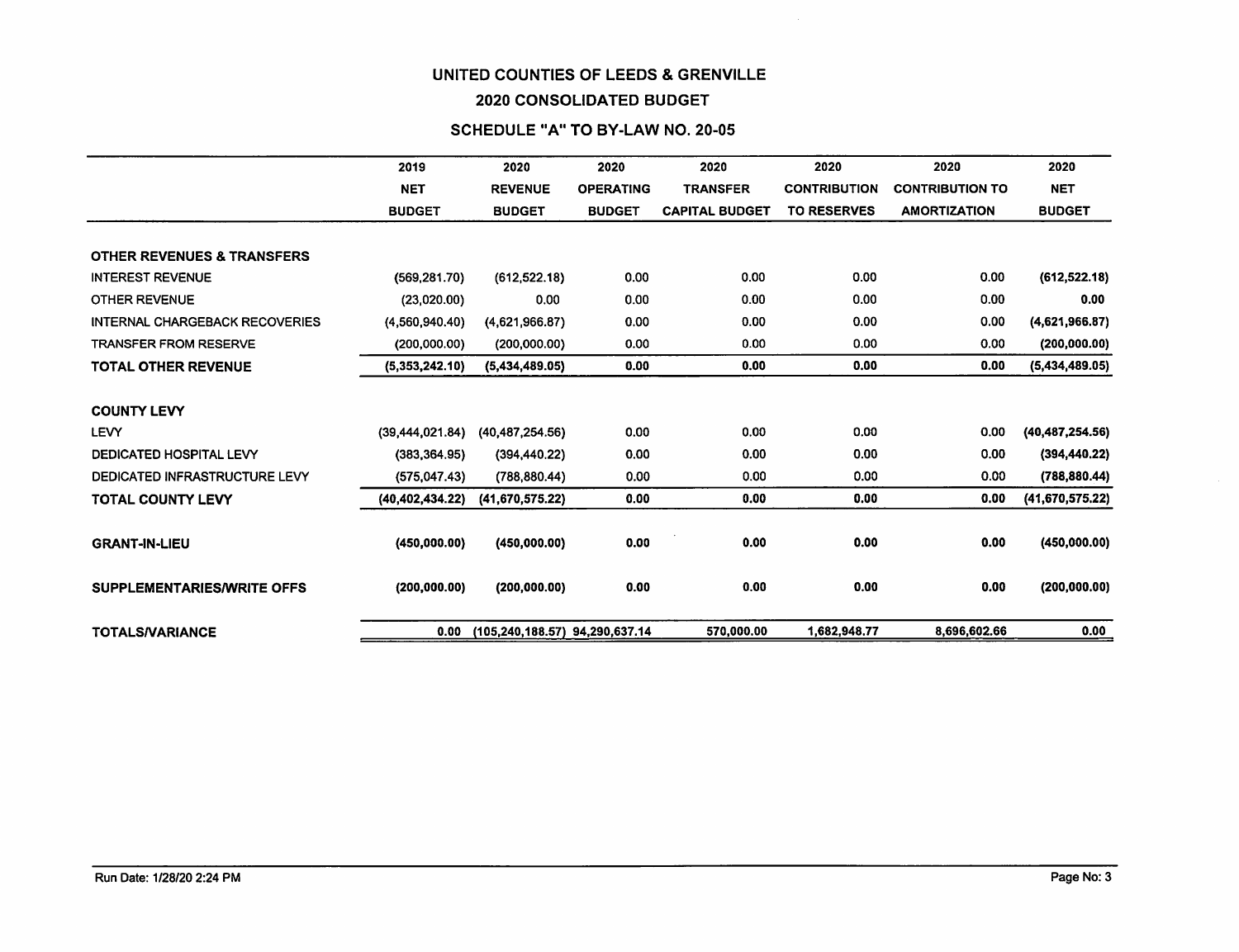#### **2020 CONSOLIDATED** BUDGET

#### SCHEDULE **"A" TO BY-LAW NO. 20-05**

|                                       | 2019              | 2020                           | 2020             | 2020                  | 2020<br>2020                                  |                     | 2020              |
|---------------------------------------|-------------------|--------------------------------|------------------|-----------------------|-----------------------------------------------|---------------------|-------------------|
|                                       | <b>NET</b>        | <b>REVENUE</b>                 | <b>OPERATING</b> | <b>TRANSFER</b>       | <b>CONTRIBUTION</b><br><b>CONTRIBUTION TO</b> |                     | <b>NET</b>        |
|                                       | <b>BUDGET</b>     | <b>BUDGET</b>                  | <b>BUDGET</b>    | <b>CAPITAL BUDGET</b> | <b>TO RESERVES</b>                            | <b>AMORTIZATION</b> | <b>BUDGET</b>     |
|                                       |                   |                                |                  |                       |                                               |                     |                   |
| <b>OTHER REVENUES &amp; TRANSFERS</b> |                   |                                |                  |                       |                                               |                     |                   |
| <b>INTEREST REVENUE</b>               | (569, 281.70)     | (612, 522.18)                  | 0.00             | 0.00                  | 0.00                                          | 0.00                | (612, 522.18)     |
| <b>OTHER REVENUE</b>                  | (23,020.00)       | 0.00                           | 0.00             | 0.00                  | 0.00                                          | 0.00                | 0.00              |
| INTERNAL CHARGEBACK RECOVERIES        | (4,560,940.40)    | (4,621,966.87)                 | 0.00             | 0.00                  | 0.00                                          | 0.00                | (4,621,966.87)    |
| <b>TRANSFER FROM RESERVE</b>          | (200,000.00)      | (200,000.00)                   | 0.00             | 0.00                  | 0.00                                          | 0.00                | (200, 000.00)     |
| <b>TOTAL OTHER REVENUE</b>            | (5,353,242.10)    | (5,434,489.05)                 | 0.00             | 0.00                  | 0.00                                          | 0.00                | (5,434,489.05)    |
|                                       |                   |                                |                  |                       |                                               |                     |                   |
| <b>COUNTY LEVY</b>                    |                   |                                |                  |                       |                                               |                     |                   |
| <b>LEVY</b>                           | (39, 444, 021.84) | (40, 487, 254.56)              | 0.00             | 0.00                  | 0.00                                          | 0.00                | (40, 487, 254.56) |
| DEDICATED HOSPITAL LEVY               | (383, 364.95)     | (394, 440.22)                  | 0.00             | 0.00                  | 0.00                                          | 0.00                | (394, 440.22)     |
| DEDICATED INFRASTRUCTURE LEVY         | (575, 047.43)     | (788, 880, 44)                 | 0.00             | 0.00                  | 0.00                                          | 0.00                | (788, 880.44)     |
| <b>TOTAL COUNTY LEVY</b>              | (40, 402, 434.22) | (41,670,575,22)                | 0.00             | 0.00                  | 0.00                                          | 0.00                | (41,670,575.22)   |
|                                       |                   |                                |                  |                       |                                               |                     |                   |
| <b>GRANT-IN-LIEU</b>                  | (450,000.00)      | (450,000.00)                   | 0.00             | 0.00                  | 0.00                                          | 0.00                | (450,000.00)      |
|                                       |                   |                                |                  |                       |                                               |                     |                   |
| <b>SUPPLEMENTARIES/WRITE OFFS</b>     | (200, 000.00)     | (200, 000.00)                  | 0.00             | 0.00                  | 0.00                                          | 0.00                | (200, 000.00)     |
|                                       |                   |                                |                  |                       |                                               |                     |                   |
| <b>TOTALS/VARIANCE</b>                | 0.00              | (105,240,188.57) 94,290,637.14 |                  | 570,000,00            | 1,682,948.77                                  | 8,696,602.66        | 0.00              |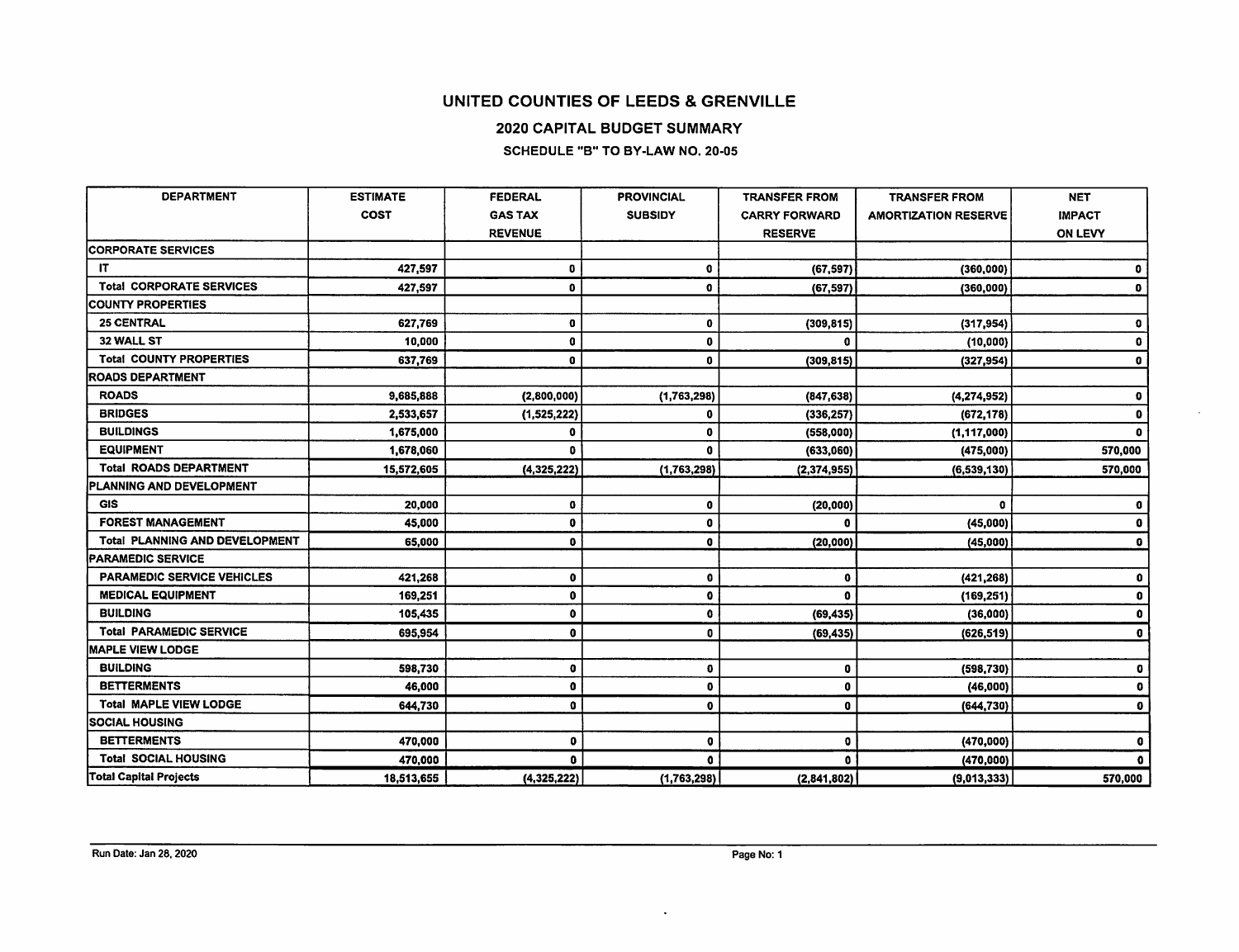2020 CAPITAL BUDGET SUMMARY

SCHEDULE "B" TO BY-LAW NO. 20-05

| <b>DEPARTMENT</b>                     | <b>ESTIMATE</b> | <b>FEDERAL</b> | <b>PROVINCIAL</b> | <b>TRANSFER FROM</b> | <b>TRANSFER FROM</b>        | <b>NET</b>    |
|---------------------------------------|-----------------|----------------|-------------------|----------------------|-----------------------------|---------------|
|                                       | <b>COST</b>     | <b>GAS TAX</b> | <b>SUBSIDY</b>    | <b>CARRY FORWARD</b> | <b>AMORTIZATION RESERVE</b> | <b>IMPACT</b> |
|                                       |                 | <b>REVENUE</b> |                   | <b>RESERVE</b>       |                             | ON LEVY       |
| <b>CORPORATE SERVICES</b>             |                 |                |                   |                      |                             |               |
| IT                                    | 427,597         | 0              | 0                 | (67, 597)            | (360,000)                   | o             |
| <b>Total CORPORATE SERVICES</b>       | 427,597         | 0              | $\mathbf 0$       | (67, 597)            | (360, 000)                  | 0             |
| <b>COUNTY PROPERTIES</b>              |                 |                |                   |                      |                             |               |
| <b>25 CENTRAL</b>                     | 627,769         | 0              | $\mathbf 0$       | (309, 815)           | (317, 954)                  | 0             |
| 32 WALL ST                            | 10,000          | 0              | $\mathbf 0$       | o                    | (10,000)                    | o             |
| <b>Total COUNTY PROPERTIES</b>        | 637,769         | 0              | $\mathbf{0}$      | (309, 815)           | (327, 954)                  | 0             |
| <b>ROADS DEPARTMENT</b>               |                 |                |                   |                      |                             |               |
| <b>ROADS</b>                          | 9,685,888       | (2,800,000)    | (1,763,298)       | (847, 638)           | (4, 274, 952)               | G             |
| <b>BRIDGES</b>                        | 2,533,657       | (1, 525, 222)  | $\mathbf 0$       | (336, 257)           | (672, 178)                  | $\bullet$     |
| <b>BUILDINGS</b>                      | 1,675,000       | 0              | $\mathbf{0}$      | (558,000)            | (1, 117, 000)               | O             |
| <b>EQUIPMENT</b>                      | 1,678,060       | o              | $\mathbf{a}$      | (633,060)            | (475,000)                   | 570,000       |
| <b>Total ROADS DEPARTMENT</b>         | 15,572,605      | (4,325,222)    | (1,763,298)       | (2, 374, 955)        | (6, 539, 130)               | 570,000       |
| PLANNING AND DEVELOPMENT              |                 |                |                   |                      |                             |               |
| <b>GIS</b>                            | 20,000          | 0              | $\mathbf 0$       | (20,000)             | $\bullet$                   | 0             |
| <b>FOREST MANAGEMENT</b>              | 45,000          | $\mathbf 0$    | $\bullet$         | 0                    | (45,000)                    | $\bullet$     |
| <b>Total PLANNING AND DEVELOPMENT</b> | 65,000          | 0              | $\bullet$         | (20,000)             | (45,000)                    | $\bullet$     |
| <b>PARAMEDIC SERVICE</b>              |                 |                |                   |                      |                             |               |
| <b>PARAMEDIC SERVICE VEHICLES</b>     | 421,268         | 0              | $\mathbf 0$       | $\mathbf 0$          | (421, 268)                  | 0             |
| <b>MEDICAL EQUIPMENT</b>              | 169,251         | $\mathbf 0$    | $\bullet$         | $\Omega$             | (169, 251)                  | $\bullet$     |
| <b>BUILDING</b>                       | 105,435         | 0              | $\mathbf{0}$      | (69, 435)            | (36,000)                    | $\mathbf 0$   |
| <b>Total PARAMEDIC SERVICE</b>        | 695,954         | $\mathbf 0$    | $\mathbf{0}$      | (69, 435)            | (626, 519)                  | $\mathbf 0$   |
| <b>MAPLE VIEW LODGE</b>               |                 |                |                   |                      |                             |               |
| <b>BUILDING</b>                       | 598,730         | 0              | 0                 | 0                    | (598, 730)                  | $\bullet$     |
| <b>BETTERMENTS</b>                    | 46,000          | 0              | $\mathbf 0$       | 0                    | (46,000)                    | $\mathbf 0$   |
| <b>Total MAPLE VIEW LODGE</b>         | 644,730         | $\mathbf 0$    | $\bullet$         | $\Omega$             | (644, 730)                  | $\bullet$     |
| SOCIAL HOUSING                        |                 |                |                   |                      |                             |               |
| <b>BETTERMENTS</b>                    | 470,000         | 0              | $\bullet$         | 0                    | (470,000)                   | $\bullet$     |
| <b>Total SOCIAL HOUSING</b>           | 470,000         | $\bullet$      | O.                | $\bullet$            | (470, 000)                  | $\bullet$     |
| <b>Total Capital Projects</b>         | 18,513,655      | (4,325,222)    | (1,763,298)       | (2,841,802)          | (9,013,333)                 | 570,000       |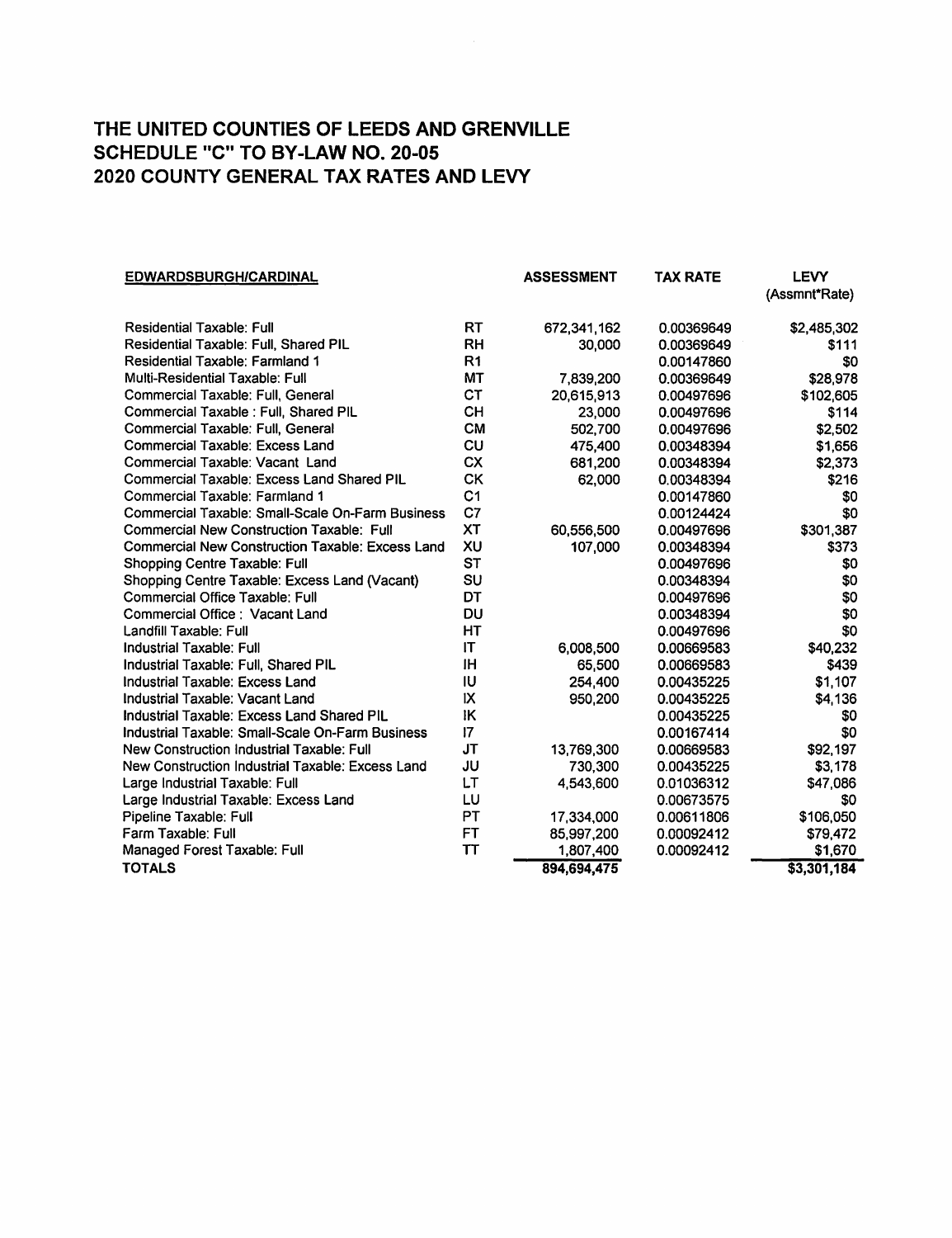| <b>EDWARDSBURGH/CARDINAL</b>                            |                 | <b>ASSESSMENT</b> | <b>TAX RATE</b> | <b>LEVY</b>   |
|---------------------------------------------------------|-----------------|-------------------|-----------------|---------------|
|                                                         |                 |                   |                 | (Assmnt*Rate) |
| <b>Residential Taxable: Full</b>                        | <b>RT</b>       | 672,341,162       | 0.00369649      | \$2,485,302   |
| <b>Residential Taxable: Full, Shared PIL</b>            | <b>RH</b>       | 30,000            | 0.00369649      | \$111         |
| <b>Residential Taxable: Farmland 1</b>                  | R <sub>1</sub>  |                   | 0.00147860      | \$0           |
| <b>Multi-Residential Taxable: Full</b>                  | MT              | 7,839,200         | 0.00369649      | \$28,978      |
| Commercial Taxable: Full, General                       | <b>CT</b>       | 20,615,913        | 0.00497696      | \$102,605     |
| Commercial Taxable : Full, Shared PIL                   | <b>CH</b>       | 23,000            | 0.00497696      | \$114         |
| Commercial Taxable: Full, General                       | <b>CM</b>       | 502,700           | 0.00497696      | \$2,502       |
| <b>Commercial Taxable: Excess Land</b>                  | CU              | 475,400           | 0.00348394      | \$1,656       |
| Commercial Taxable: Vacant Land                         | <b>CX</b>       | 681,200           | 0.00348394      | \$2,373       |
| <b>Commercial Taxable: Excess Land Shared PIL</b>       | CK              | 62,000            | 0.00348394      | \$216         |
| Commercial Taxable: Farmland 1                          | C <sub>1</sub>  |                   | 0.00147860      | \$0           |
| <b>Commercial Taxable: Small-Scale On-Farm Business</b> | C7              |                   | 0.00124424      | \$0           |
| <b>Commercial New Construction Taxable: Full</b>        | XT              | 60,556,500        | 0.00497696      | \$301,387     |
| <b>Commercial New Construction Taxable: Excess Land</b> | XU              | 107,000           | 0.00348394      | \$373         |
| Shopping Centre Taxable: Full                           | <b>ST</b>       |                   | 0.00497696      | \$0           |
| Shopping Centre Taxable: Excess Land (Vacant)           | SU              |                   | 0.00348394      | \$0           |
| <b>Commercial Office Taxable: Full</b>                  | DT              |                   | 0.00497696      | \$0           |
| Commercial Office: Vacant Land                          | <b>DU</b>       |                   | 0.00348394      | \$0           |
| Landfill Taxable: Full                                  | HT              |                   | 0.00497696      | \$0           |
| Industrial Taxable: Full                                | IT              | 6,008,500         | 0.00669583      | \$40,232      |
| Industrial Taxable: Full, Shared PIL                    | ΙH              | 65,500            | 0.00669583      | \$439         |
| Industrial Taxable: Excess Land                         | ΙU              | 254,400           | 0.00435225      | \$1,107       |
| Industrial Taxable: Vacant Land                         | IX              | 950,200           | 0.00435225      | \$4,136       |
| Industrial Taxable: Excess Land Shared PIL              | ΙK              |                   | 0.00435225      | \$0           |
| Industrial Taxable: Small-Scale On-Farm Business        | 17 <sup>2</sup> |                   | 0.00167414      | \$0           |
| New Construction Industrial Taxable: Full               | JT              | 13,769,300        | 0.00669583      | \$92,197      |
| New Construction Industrial Taxable: Excess Land        | JU              | 730.300           | 0.00435225      | \$3,178       |
| Large Industrial Taxable: Full                          | LT              | 4,543,600         | 0.01036312      | \$47,086      |
| Large Industrial Taxable: Excess Land                   | LU              |                   | 0.00673575      | \$0           |
| Pipeline Taxable: Full                                  | PT              | 17,334,000        | 0.00611806      | \$106,050     |
| Farm Taxable: Full                                      | <b>FT</b>       | 85,997,200        | 0.00092412      | \$79,472      |
| Managed Forest Taxable: Full                            | TΤ              | 1,807,400         | 0.00092412      | \$1,670       |
| <b>TOTALS</b>                                           |                 | 894,694,475       |                 | \$3,301,184   |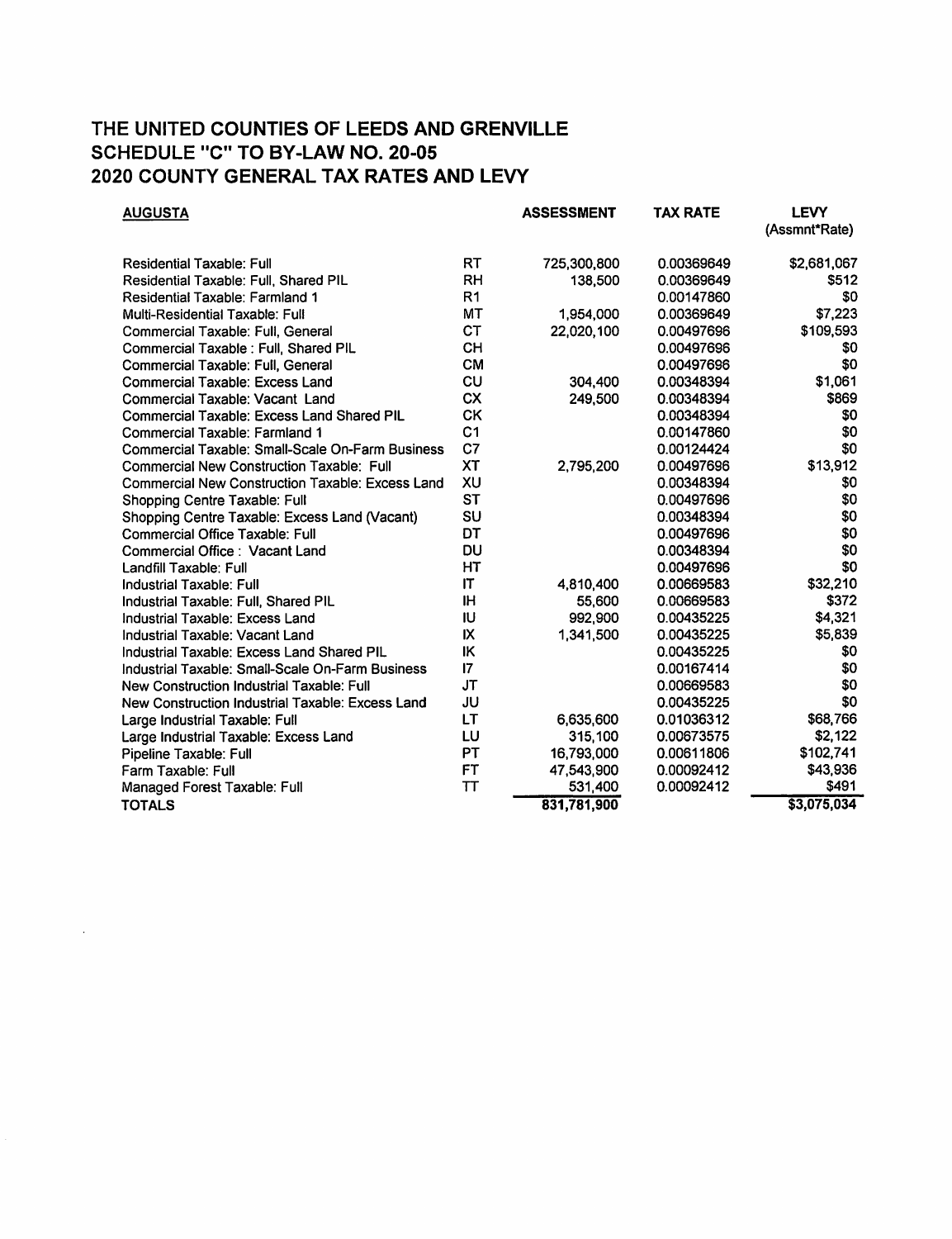| <b>AUGUSTA</b>                                          |                | <b>ASSESSMENT</b> | <b>TAX RATE</b> | <b>LEVY</b><br>(Assmnt*Rate) |
|---------------------------------------------------------|----------------|-------------------|-----------------|------------------------------|
| <b>Residential Taxable: Full</b>                        | RT             | 725,300,800       | 0.00369649      | \$2,681,067                  |
| Residential Taxable: Full, Shared PIL                   | <b>RH</b>      | 138,500           | 0.00369649      | \$512                        |
| Residential Taxable: Farmland 1                         | R <sub>1</sub> |                   | 0.00147860      | \$0                          |
| <b>Multi-Residential Taxable: Full</b>                  | MT             | 1,954,000         | 0.00369649      | \$7,223                      |
| Commercial Taxable: Full, General                       | <b>CT</b>      | 22,020,100        | 0.00497696      | \$109,593                    |
| Commercial Taxable : Full, Shared PIL                   | <b>CH</b>      |                   | 0.00497696      | \$0                          |
| Commercial Taxable: Full, General                       | <b>CM</b>      |                   | 0.00497696      | \$0                          |
| Commercial Taxable: Excess Land                         | CU             | 304,400           | 0.00348394      | \$1,061                      |
| Commercial Taxable: Vacant Land                         | <b>CX</b>      | 249,500           | 0.00348394      | \$869                        |
| <b>Commercial Taxable: Excess Land Shared PIL</b>       | <b>CK</b>      |                   | 0.00348394      | \$0                          |
| Commercial Taxable: Farmland 1                          | C <sub>1</sub> |                   | 0.00147860      | \$0                          |
| <b>Commercial Taxable: Small-Scale On-Farm Business</b> | C7             |                   | 0.00124424      | \$0                          |
| <b>Commercial New Construction Taxable: Full</b>        | <b>XT</b>      | 2,795,200         | 0.00497696      | \$13,912                     |
| Commercial New Construction Taxable: Excess Land        | XU             |                   | 0.00348394      | \$0                          |
| Shopping Centre Taxable: Full                           | <b>ST</b>      |                   | 0.00497696      | \$0                          |
| Shopping Centre Taxable: Excess Land (Vacant)           | SU             |                   | 0.00348394      | \$0                          |
| <b>Commercial Office Taxable: Full</b>                  | DT             |                   | 0.00497696      | \$0                          |
| Commercial Office: Vacant Land                          | DU             |                   | 0.00348394      | \$0                          |
| Landfill Taxable: Full                                  | НT             |                   | 0.00497696      | \$0                          |
| <b>Industrial Taxable: Full</b>                         | IT             | 4,810,400         | 0.00669583      | \$32,210                     |
| Industrial Taxable: Full, Shared PIL                    | <b>IH</b>      | 55,600            | 0.00669583      | \$372                        |
| Industrial Taxable: Excess Land                         | IU             | 992,900           | 0.00435225      | \$4,321                      |
| Industrial Taxable: Vacant Land                         | IX             | 1,341,500         | 0.00435225      | \$5,839                      |
| Industrial Taxable: Excess Land Shared PIL              | IK             |                   | 0.00435225      | \$0                          |
| Industrial Taxable: Small-Scale On-Farm Business        | 17             |                   | 0.00167414      | \$0                          |
| <b>New Construction Industrial Taxable: Full</b>        | <b>JT</b>      |                   | 0.00669583      | \$0                          |
| New Construction Industrial Taxable: Excess Land        | JU             |                   | 0.00435225      | \$0                          |
| Large Industrial Taxable: Full                          | LT             | 6,635,600         | 0.01036312      | \$68,766                     |
| Large Industrial Taxable: Excess Land                   | LU             | 315,100           | 0.00673575      | \$2,122                      |
| Pipeline Taxable: Full                                  | PT             | 16,793,000        | 0.00611806      | \$102,741                    |
| Farm Taxable: Full                                      | FT             | 47,543,900        | 0.00092412      | \$43,936                     |
| Managed Forest Taxable: Full                            | ТT             | 531,400           | 0.00092412      | \$491                        |
| <b>TOTALS</b>                                           |                | 831,781,900       |                 | \$3,075,034                  |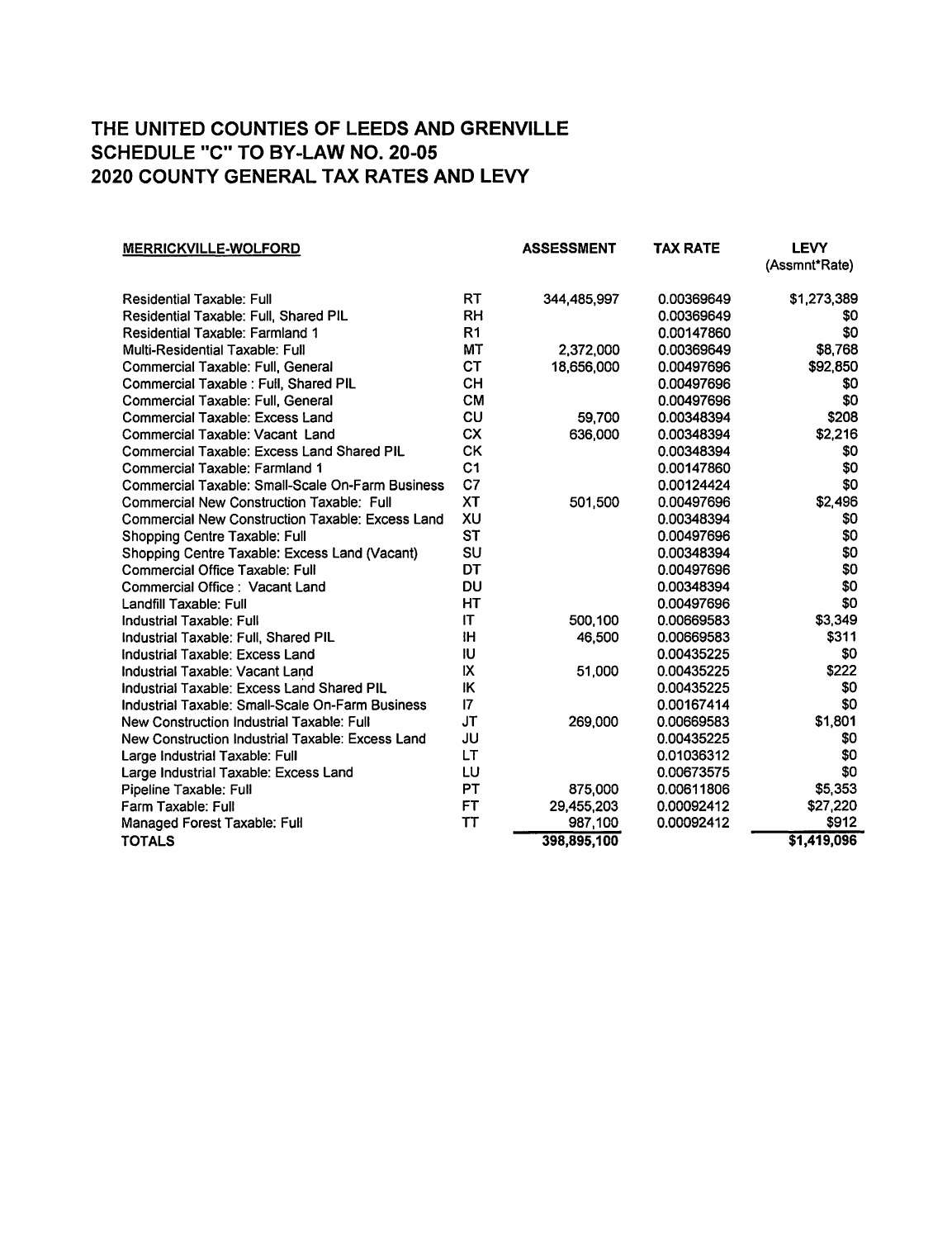| <b>MERRICKVILLE-WOLFORD</b>                             |                | <b>ASSESSMENT</b> | TAX RATE   | <b>LEVY</b><br>(Assmnt*Rate) |
|---------------------------------------------------------|----------------|-------------------|------------|------------------------------|
| <b>Residential Taxable: Full</b>                        | <b>RT</b>      | 344,485,997       | 0.00369649 | \$1,273,389                  |
| Residential Taxable: Full. Shared PIL                   | <b>RH</b>      |                   | 0.00369649 | \$0                          |
| <b>Residential Taxable: Farmland 1</b>                  | R <sub>1</sub> |                   | 0.00147860 | \$0                          |
| Multi-Residential Taxable: Full                         | MT             | 2,372,000         | 0.00369649 | \$8,768                      |
| Commercial Taxable: Full, General                       | <b>CT</b>      | 18,656,000        | 0.00497696 | \$92,850                     |
| Commercial Taxable : Full, Shared PIL                   | <b>CH</b>      |                   | 0.00497696 | \$0                          |
| Commercial Taxable: Full, General                       | <b>CM</b>      |                   | 0.00497696 | \$0                          |
| <b>Commercial Taxable: Excess Land</b>                  | CU             | 59,700            | 0.00348394 | \$208                        |
| Commercial Taxable: Vacant Land                         | <b>CX</b>      | 636,000           | 0.00348394 | \$2,216                      |
| <b>Commercial Taxable: Excess Land Shared PIL</b>       | <b>CK</b>      |                   | 0.00348394 | \$0                          |
| Commercial Taxable: Farmland 1                          | C <sub>1</sub> |                   | 0.00147860 | \$0                          |
| Commercial Taxable: Small-Scale On-Farm Business        | C <sub>7</sub> |                   | 0.00124424 | \$0                          |
| Commercial New Construction Taxable: Full               | <b>XT</b>      | 501,500           | 0.00497696 | \$2,496                      |
| <b>Commercial New Construction Taxable: Excess Land</b> | XU             |                   | 0.00348394 | \$0                          |
| Shopping Centre Taxable: Full                           | <b>ST</b>      |                   | 0.00497696 | \$0                          |
| Shopping Centre Taxable: Excess Land (Vacant)           | SU             |                   | 0.00348394 | \$0                          |
| Commercial Office Taxable: Full                         | DT             |                   | 0.00497696 | \$0                          |
| Commercial Office: Vacant Land                          | DU             |                   | 0.00348394 | \$0                          |
| Landfill Taxable: Full                                  | HT             |                   | 0.00497696 | \$0                          |
| Industrial Taxable: Full                                | IT             | 500,100           | 0.00669583 | \$3,349                      |
| Industrial Taxable: Full. Shared PIL                    | ΙH             | 46,500            | 0.00669583 | \$311                        |
| Industrial Taxable: Excess Land                         | IU             |                   | 0.00435225 | \$0                          |
| Industrial Taxable: Vacant Land                         | IX             | 51,000            | 0.00435225 | \$222                        |
| Industrial Taxable: Excess Land Shared PIL              | IK             |                   | 0.00435225 | \$0                          |
| Industrial Taxable: Small-Scale On-Farm Business        | 7              |                   | 0.00167414 | \$0                          |
| New Construction Industrial Taxable: Full               | <b>JT</b>      | 269,000           | 0.00669583 | \$1,801                      |
| New Construction Industrial Taxable: Excess Land        | JU             |                   | 0.00435225 | \$0                          |
| Large Industrial Taxable: Full                          | LT             |                   | 0.01036312 | \$0                          |
| Large Industrial Taxable: Excess Land                   | LU             |                   | 0.00673575 | \$0                          |
| Pipeline Taxable: Full                                  | PT             | 875,000           | 0.00611806 | \$5,353                      |
| Farm Taxable: Full                                      | FT             | 29,455,203        | 0.00092412 | \$27,220                     |
| Managed Forest Taxable: Full                            | <b>TT</b>      | 987,100           | 0.00092412 | \$912                        |
| <b>TOTALS</b>                                           |                | 398,895,100       |            | \$1,419,096                  |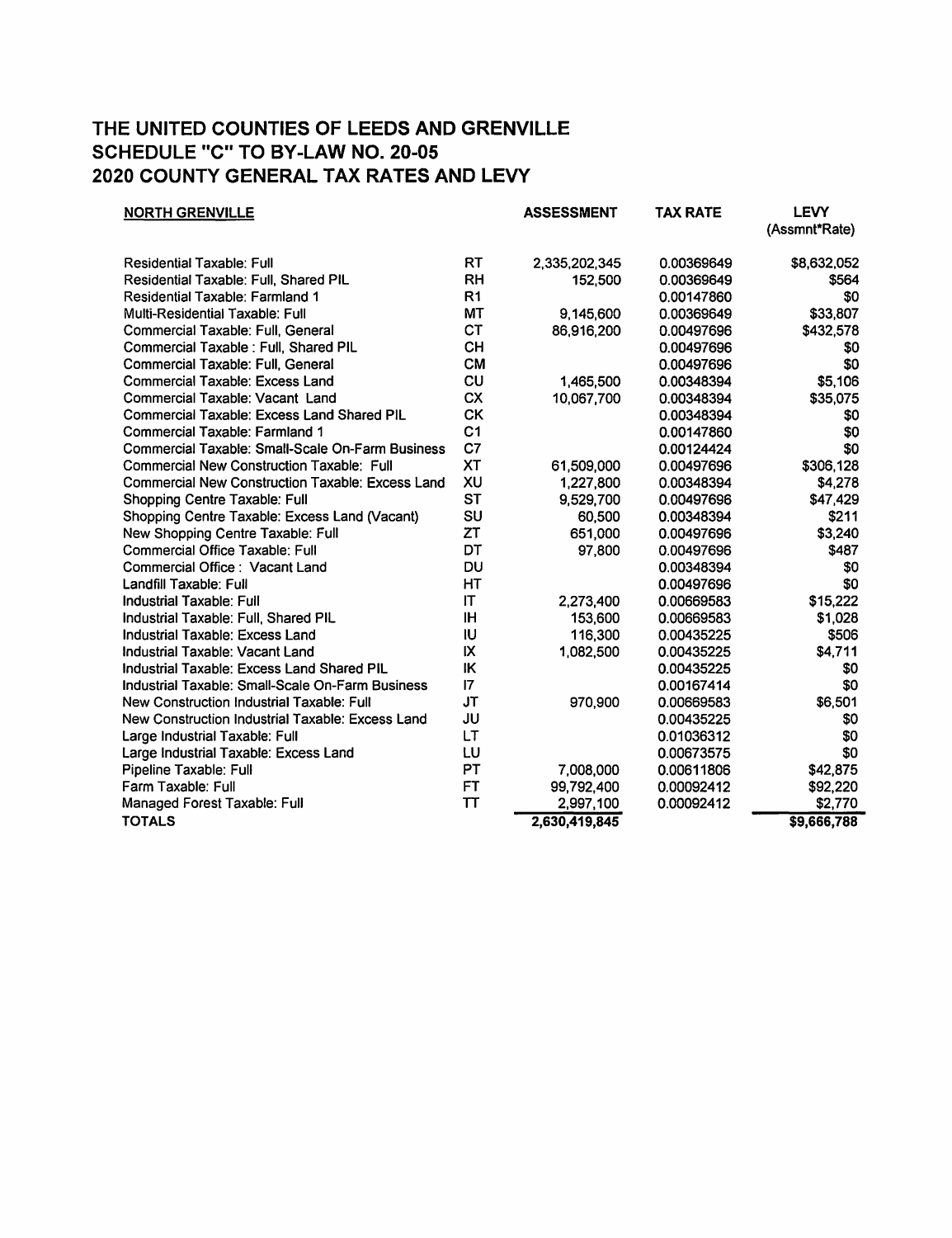| <b>NORTH GRENVILLE</b>                            |                 | <b>ASSESSMENT</b> | <b>TAX RATE</b> | <b>LEVY</b><br>(Assmnt*Rate) |
|---------------------------------------------------|-----------------|-------------------|-----------------|------------------------------|
|                                                   |                 |                   |                 |                              |
| <b>Residential Taxable: Full</b>                  | RT              | 2,335,202,345     | 0.00369649      | \$8,632,052                  |
| Residential Taxable: Full, Shared PIL             | <b>RH</b>       | 152,500           | 0.00369649      | \$564                        |
| <b>Residential Taxable: Farmland 1</b>            | R <sub>1</sub>  |                   | 0.00147860      | \$0                          |
| Multi-Residential Taxable: Full                   | <b>MT</b>       | 9,145,600         | 0.00369649      | \$33,807                     |
| Commercial Taxable: Full, General                 | <b>CT</b>       | 86,916,200        | 0.00497696      | \$432,578                    |
| Commercial Taxable : Full, Shared PIL             | CH              |                   | 0.00497696      | \$0                          |
| Commercial Taxable: Full, General                 | <b>CM</b>       |                   | 0.00497696      | \$0                          |
| <b>Commercial Taxable: Excess Land</b>            | <b>CU</b>       | 1,465,500         | 0.00348394      | \$5,106                      |
| Commercial Taxable: Vacant Land                   | <b>CX</b>       | 10,067,700        | 0.00348394      | \$35,075                     |
| <b>Commercial Taxable: Excess Land Shared PIL</b> | <b>CK</b>       |                   | 0.00348394      | \$0                          |
| <b>Commercial Taxable: Farmland 1</b>             | C <sub>1</sub>  |                   | 0.00147860      | \$0                          |
| Commercial Taxable: Small-Scale On-Farm Business  | C7              |                   | 0.00124424      | \$0                          |
| Commercial New Construction Taxable: Full         | <b>XT</b>       | 61,509,000        | 0.00497696      | \$306,128                    |
| Commercial New Construction Taxable: Excess Land  | XU              | 1,227,800         | 0.00348394      | \$4,278                      |
| Shopping Centre Taxable: Full                     | <b>ST</b>       | 9,529,700         | 0.00497696      | \$47,429                     |
| Shopping Centre Taxable: Excess Land (Vacant)     | SU              | 60,500            | 0.00348394      | \$211                        |
| New Shopping Centre Taxable: Full                 | ZT              | 651,000           | 0.00497696      | \$3,240                      |
| Commercial Office Taxable: Full                   | DT              | 97,800            | 0.00497696      | \$487                        |
| Commercial Office : Vacant Land                   | DU              |                   | 0.00348394      | \$0                          |
| Landfill Taxable: Full                            | HT              |                   | 0.00497696      | \$0                          |
| <b>Industrial Taxable: Full</b>                   | IT              | 2,273,400         | 0.00669583      | \$15,222                     |
| Industrial Taxable: Full, Shared PIL              | ΙH              | 153,600           | 0.00669583      | \$1,028                      |
| Industrial Taxable: Excess Land                   | IJ              | 116,300           | 0.00435225      | \$506                        |
| Industrial Taxable: Vacant Land                   | IX              | 1,082,500         | 0.00435225      | \$4,711                      |
| Industrial Taxable: Excess Land Shared PIL        | IK              |                   | 0.00435225      | \$0                          |
| Industrial Taxable: Small-Scale On-Farm Business  | $\overline{17}$ |                   | 0.00167414      | \$0                          |
| New Construction Industrial Taxable: Full         | <b>JT</b>       | 970,900           | 0.00669583      | \$6,501                      |
| New Construction Industrial Taxable: Excess Land  | JU              |                   | 0.00435225      | \$0                          |
| Large Industrial Taxable: Full                    | LT              |                   | 0.01036312      | \$0                          |
| Large Industrial Taxable: Excess Land             | LU              |                   | 0.00673575      | \$0                          |
| Pipeline Taxable: Full                            | PT              | 7,008,000         | 0.00611806      | \$42,875                     |
| Farm Taxable: Full                                | <b>FT</b>       | 99,792,400        | 0.00092412      | \$92,220                     |
| Managed Forest Taxable: Full                      | TΤ              | 2,997,100         | 0.00092412      | \$2,770                      |
| <b>TOTALS</b>                                     |                 | 2,630,419,845     |                 | \$9,666,788                  |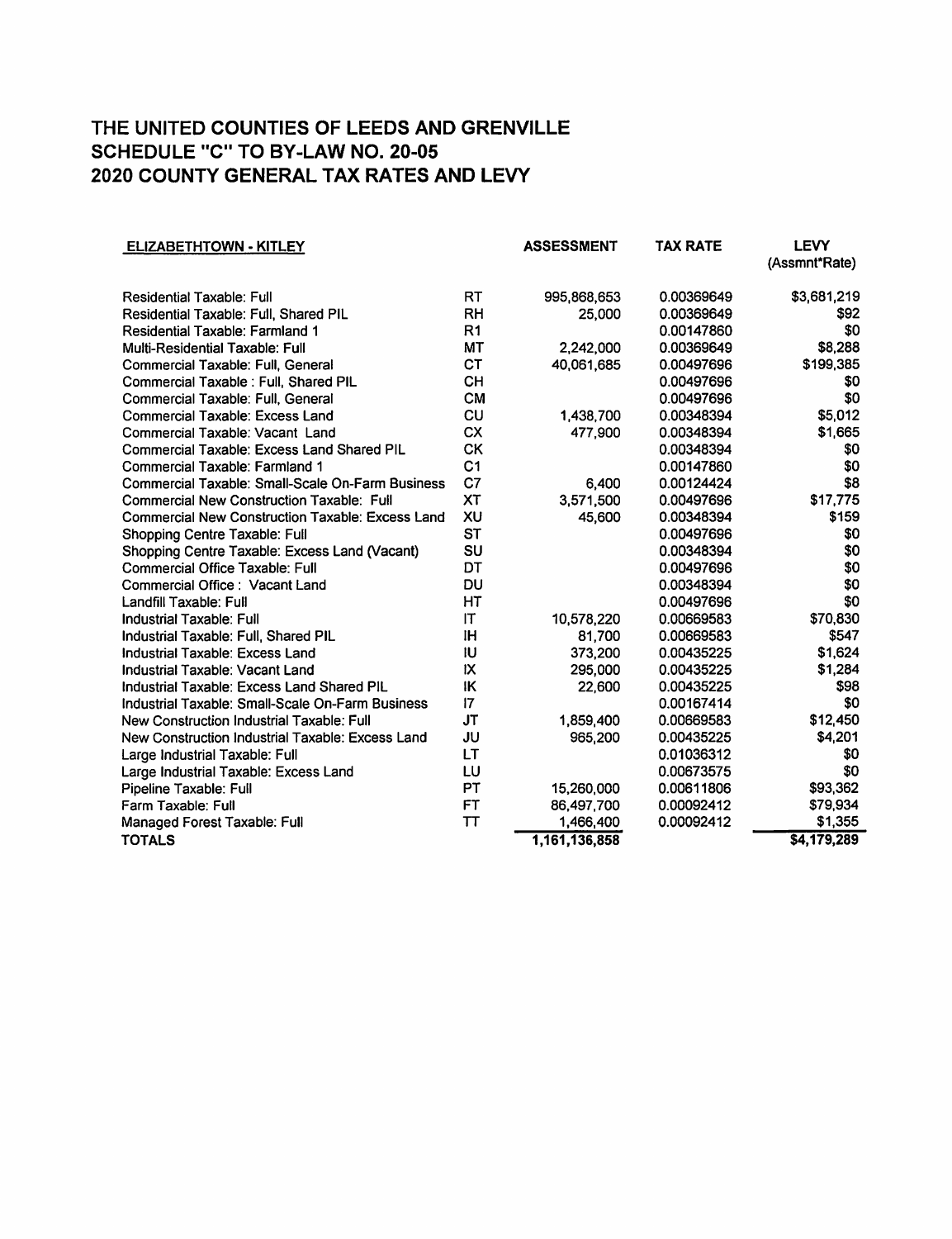| <b>ELIZABETHTOWN - KITLEY</b>                           |                 | <b>ASSESSMENT</b> | <b>TAX RATE</b> | <b>LEVY</b>   |
|---------------------------------------------------------|-----------------|-------------------|-----------------|---------------|
|                                                         |                 |                   |                 | (Assmnt*Rate) |
| <b>Residential Taxable: Full</b>                        | <b>RT</b>       | 995,868,653       | 0.00369649      | \$3,681,219   |
| Residential Taxable: Full, Shared PIL                   | <b>RH</b>       | 25,000            | 0.00369649      | \$92          |
| Residential Taxable: Farmland 1                         | R <sub>1</sub>  |                   | 0.00147860      | \$0           |
| <b>Multi-Residential Taxable: Full</b>                  | <b>MT</b>       | 2,242,000         | 0.00369649      | \$8,288       |
| Commercial Taxable: Full, General                       | <b>CT</b>       | 40,061,685        | 0.00497696      | \$199,385     |
| Commercial Taxable : Full, Shared PIL                   | <b>CH</b>       |                   | 0.00497696      | \$0           |
| Commercial Taxable: Full, General                       | <b>CM</b>       |                   | 0.00497696      | \$0           |
| <b>Commercial Taxable: Excess Land</b>                  | CU              | 1,438,700         | 0.00348394      | \$5,012       |
| Commercial Taxable: Vacant Land                         | <b>CX</b>       | 477,900           | 0.00348394      | \$1,665       |
| <b>Commercial Taxable: Excess Land Shared PIL</b>       | <b>CK</b>       |                   | 0.00348394      | \$0           |
| Commercial Taxable: Farmland 1                          | C <sub>1</sub>  |                   | 0.00147860      | \$0           |
| <b>Commercial Taxable: Small-Scale On-Farm Business</b> | C7              | 6,400             | 0.00124424      | \$8           |
| <b>Commercial New Construction Taxable: Full</b>        | <b>XT</b>       | 3,571,500         | 0.00497696      | \$17,775      |
| <b>Commercial New Construction Taxable: Excess Land</b> | XU              | 45,600            | 0.00348394      | \$159         |
| Shopping Centre Taxable: Full                           | <b>ST</b>       |                   | 0.00497696      | \$0           |
| Shopping Centre Taxable: Excess Land (Vacant)           | SU              |                   | 0.00348394      | \$0           |
| Commercial Office Taxable: Full                         | DT              |                   | 0.00497696      | \$0           |
| Commercial Office: Vacant Land                          | DU              |                   | 0.00348394      | \$0           |
| Landfill Taxable: Full                                  | HТ              |                   | 0.00497696      | \$0           |
| <b>Industrial Taxable: Full</b>                         | IT              | 10,578,220        | 0.00669583      | \$70,830      |
| Industrial Taxable: Full. Shared PIL                    | ΙH              | 81.700            | 0.00669583      | \$547         |
| Industrial Taxable: Excess Land                         | IU              | 373,200           | 0.00435225      | \$1,624       |
| Industrial Taxable: Vacant Land                         | IX              | 295,000           | 0.00435225      | \$1,284       |
| Industrial Taxable: Excess Land Shared PIL              | IK              | 22,600            | 0.00435225      | \$98          |
| Industrial Taxable: Small-Scale On-Farm Business        | $\overline{17}$ |                   | 0.00167414      | \$0           |
| New Construction Industrial Taxable: Full               | <b>JT</b>       | 1,859,400         | 0.00669583      | \$12,450      |
| New Construction Industrial Taxable: Excess Land        | JU              | 965,200           | 0.00435225      | \$4,201       |
| Large Industrial Taxable: Full                          | LT              |                   | 0.01036312      | \$0           |
| Large Industrial Taxable: Excess Land                   | LU              |                   | 0.00673575      | \$0           |
| Pipeline Taxable: Full                                  | PT              | 15,260,000        | 0.00611806      | \$93,362      |
| Farm Taxable: Full                                      | <b>FT</b>       | 86,497,700        | 0.00092412      | \$79,934      |
| Managed Forest Taxable: Full                            | <b>TT</b>       | 1,466,400         | 0.00092412      | \$1,355       |
| <b>TOTALS</b>                                           |                 | 1,161,136,858     |                 | \$4,179,289   |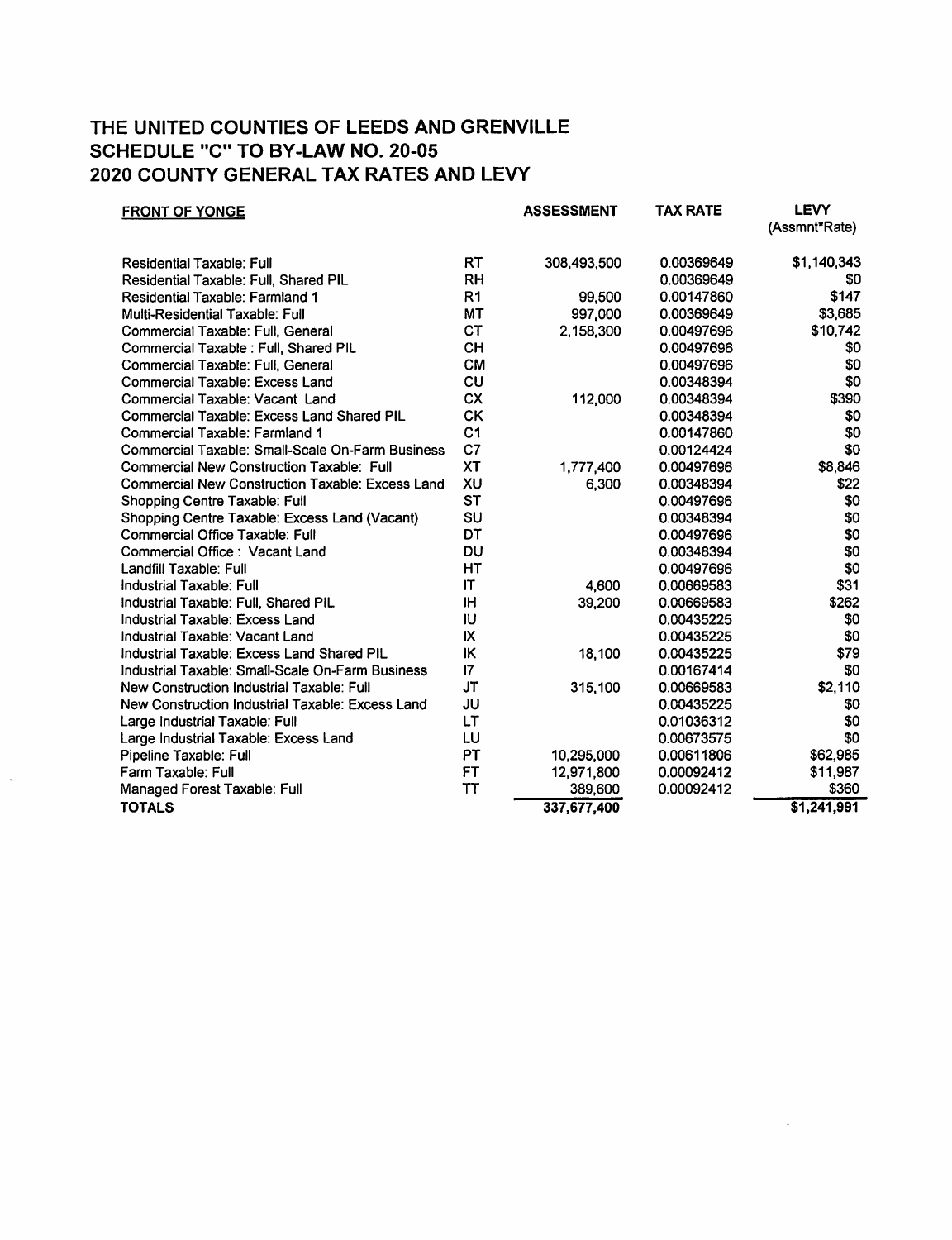| <b>FRONT OF YONGE</b>                                   |                | <b>ASSESSMENT</b> | <b>TAX RATE</b> | <b>LEVY</b><br>(Assmnt*Rate) |
|---------------------------------------------------------|----------------|-------------------|-----------------|------------------------------|
|                                                         |                |                   |                 |                              |
| <b>Residential Taxable: Full</b>                        | <b>RT</b>      | 308,493,500       | 0.00369649      | \$1,140,343                  |
| Residential Taxable: Full, Shared PIL                   | <b>RH</b>      |                   | 0.00369649      | \$0                          |
| <b>Residential Taxable: Farmland 1</b>                  | R <sub>1</sub> | 99,500            | 0.00147860      | \$147                        |
| Multi-Residential Taxable: Full                         | MT             | 997,000           | 0.00369649      | \$3,685                      |
| Commercial Taxable: Full, General                       | <b>CT</b>      | 2,158,300         | 0.00497696      | \$10,742                     |
| Commercial Taxable : Full, Shared PIL                   | <b>CH</b>      |                   | 0.00497696      | \$0                          |
| Commercial Taxable: Full, General                       | <b>CM</b>      |                   | 0.00497696      | \$0                          |
| Commercial Taxable: Excess Land                         | CU             |                   | 0.00348394      | \$0                          |
| Commercial Taxable: Vacant Land                         | <b>CX</b>      | 112,000           | 0.00348394      | \$390                        |
| <b>Commercial Taxable: Excess Land Shared PIL</b>       | <b>CK</b>      |                   | 0.00348394      | \$0                          |
| Commercial Taxable: Farmland 1                          | C <sub>1</sub> |                   | 0.00147860      | \$0                          |
| Commercial Taxable: Small-Scale On-Farm Business        | C <sub>7</sub> |                   | 0.00124424      | \$0                          |
| <b>Commercial New Construction Taxable: Full</b>        | XT             | 1,777,400         | 0.00497696      | \$8,846                      |
| <b>Commercial New Construction Taxable: Excess Land</b> | XU             | 6,300             | 0.00348394      | \$22                         |
| Shopping Centre Taxable: Full                           | <b>ST</b>      |                   | 0.00497696      | \$0                          |
| Shopping Centre Taxable: Excess Land (Vacant)           | SU             |                   | 0.00348394      | \$0                          |
| Commercial Office Taxable: Full                         | DT             |                   | 0.00497696      | \$0                          |
| Commercial Office: Vacant Land                          | DU             |                   | 0.00348394      | \$0                          |
| Landfill Taxable: Full                                  | HT             |                   | 0.00497696      | \$0                          |
| <b>Industrial Taxable: Full</b>                         | IT             | 4,600             | 0.00669583      | \$31                         |
| Industrial Taxable: Full, Shared PIL                    | ΙH             | 39,200            | 0.00669583      | \$262                        |
| Industrial Taxable: Excess Land                         | <b>IU</b>      |                   | 0.00435225      | \$0                          |
| Industrial Taxable: Vacant Land                         | IX             |                   | 0.00435225      | \$0                          |
| Industrial Taxable: Excess Land Shared PIL              | IK             | 18,100            | 0.00435225      | \$79                         |
| Industrial Taxable: Small-Scale On-Farm Business        | $\mathsf{I}7$  |                   | 0.00167414      | \$0                          |
| New Construction Industrial Taxable: Full               | JT             | 315,100           | 0.00669583      | \$2,110                      |
| New Construction Industrial Taxable: Excess Land        | JU             |                   | 0.00435225      | \$0                          |
| Large Industrial Taxable: Full                          | LT             |                   | 0.01036312      | \$0                          |
| Large Industrial Taxable: Excess Land                   | LU             |                   | 0.00673575      | \$0                          |
| Pipeline Taxable: Full                                  | <b>PT</b>      | 10,295,000        | 0.00611806      | \$62,985                     |
| Farm Taxable: Full                                      | FT             | 12,971,800        | 0.00092412      | \$11,987                     |
| Managed Forest Taxable: Full                            | TT             | 389,600           | 0.00092412      | \$360                        |
| <b>TOTALS</b>                                           |                | 337,677,400       |                 | \$1,241,991                  |
|                                                         |                |                   |                 |                              |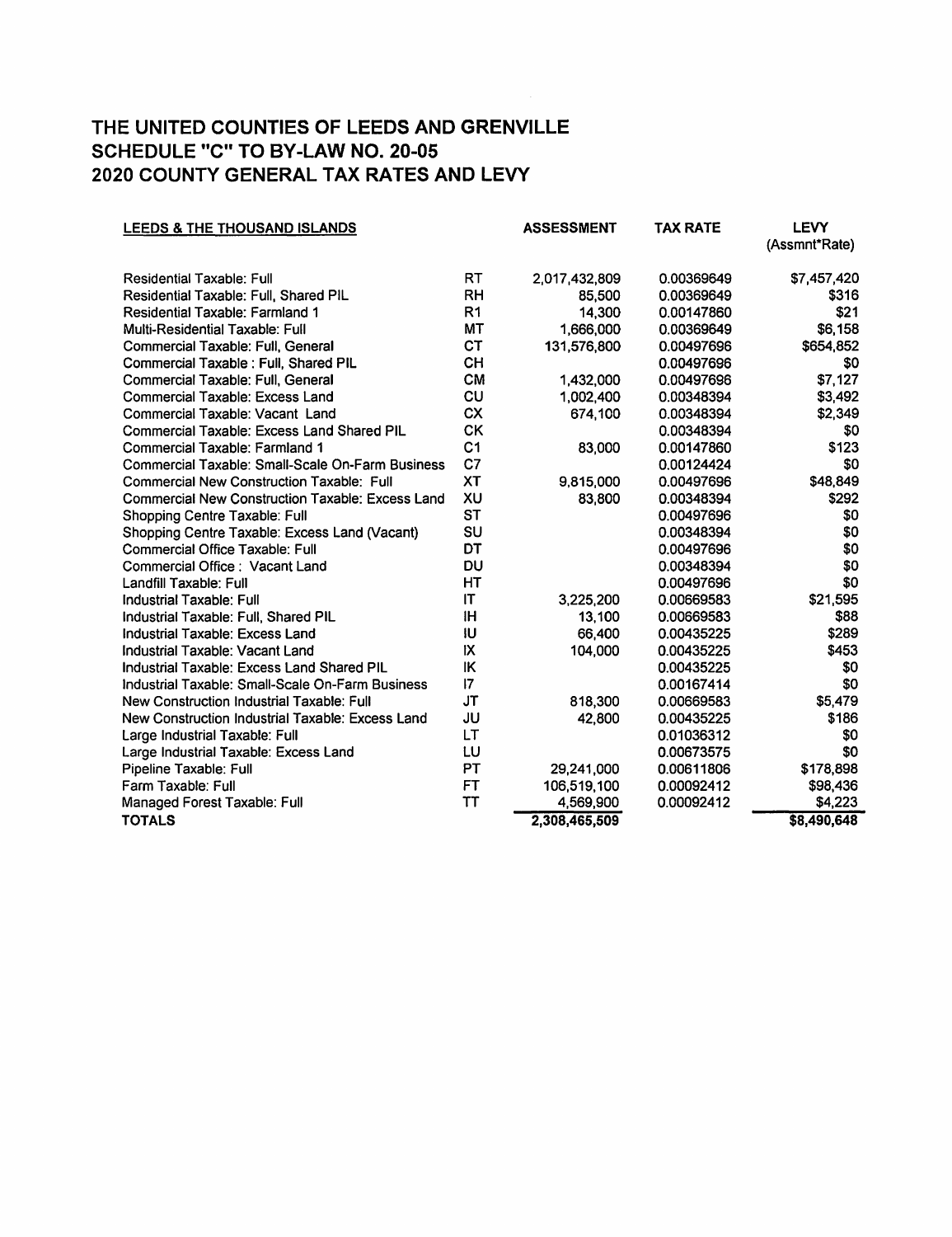| <b>LEEDS &amp; THE THOUSAND ISLANDS</b>                 |                        | <b>ASSESSMENT</b> | <b>TAX RATE</b> | <b>LEVY</b>   |
|---------------------------------------------------------|------------------------|-------------------|-----------------|---------------|
|                                                         |                        |                   |                 | (Assmnt*Rate) |
| Residential Taxable: Full                               | RT                     | 2.017.432.809     | 0.00369649      | \$7,457,420   |
| Residential Taxable: Full, Shared PIL                   | <b>RH</b>              | 85,500            | 0.00369649      | \$316         |
| Residential Taxable: Farmland 1                         | R <sub>1</sub>         | 14,300            | 0.00147860      | \$21          |
| Multi-Residential Taxable: Full                         | MT                     | 1,666,000         | 0.00369649      | \$6,158       |
| Commercial Taxable: Full, General                       | <b>CT</b>              | 131,576,800       | 0.00497696      | \$654,852     |
| Commercial Taxable : Full, Shared PIL                   | <b>CH</b>              |                   | 0.00497696      | \$0           |
| Commercial Taxable: Full, General                       | <b>CM</b>              | 1,432,000         | 0.00497696      | \$7,127       |
| <b>Commercial Taxable: Excess Land</b>                  | CU                     | 1,002,400         | 0.00348394      | \$3,492       |
| Commercial Taxable: Vacant Land                         | <b>CX</b>              | 674,100           | 0.00348394      | \$2,349       |
| <b>Commercial Taxable: Excess Land Shared PIL</b>       | СK                     |                   | 0.00348394      | \$0           |
| <b>Commercial Taxable: Farmland 1</b>                   | C <sub>1</sub>         | 83,000            | 0.00147860      | \$123         |
| Commercial Taxable: Small-Scale On-Farm Business        | C <sub>7</sub>         |                   | 0.00124424      | \$0           |
| Commercial New Construction Taxable: Full               | <b>XT</b>              | 9,815,000         | 0.00497696      | \$48,849      |
| <b>Commercial New Construction Taxable: Excess Land</b> | XU                     | 83,800            | 0.00348394      | \$292         |
| Shopping Centre Taxable: Full                           | <b>ST</b>              |                   | 0.00497696      | \$0           |
| Shopping Centre Taxable: Excess Land (Vacant)           | SU                     |                   | 0.00348394      | \$0           |
| Commercial Office Taxable: Full                         | DT                     |                   | 0.00497696      | \$0           |
| Commercial Office: Vacant Land                          | DU                     |                   | 0.00348394      | \$0           |
| Landfill Taxable: Full                                  | HT                     |                   | 0.00497696      | \$0           |
| <b>Industrial Taxable: Full</b>                         | $\mathsf{I}\mathsf{T}$ | 3,225,200         | 0.00669583      | \$21,595      |
| Industrial Taxable: Full, Shared PIL                    | <b>IH</b>              | 13.100            | 0.00669583      | \$88          |
| Industrial Taxable: Excess Land                         | IU                     | 66,400            | 0.00435225      | \$289         |
| Industrial Taxable: Vacant Land                         | IX                     | 104,000           | 0.00435225      | \$453         |
| Industrial Taxable: Excess Land Shared PIL              | IK                     |                   | 0.00435225      | \$0           |
| Industrial Taxable: Small-Scale On-Farm Business        | $\mathsf{I}7$          |                   | 0.00167414      | \$0           |
| New Construction Industrial Taxable: Full               | <b>JT</b>              | 818,300           | 0.00669583      | \$5,479       |
| New Construction Industrial Taxable: Excess Land        | JU                     | 42,800            | 0.00435225      | \$186         |
| Large Industrial Taxable: Full                          | LT                     |                   | 0.01036312      | \$0           |
| Large Industrial Taxable: Excess Land                   | LU                     |                   | 0.00673575      | \$0           |
| Pipeline Taxable: Full                                  | <b>PT</b>              | 29,241,000        | 0.00611806      | \$178,898     |
| Farm Taxable: Full                                      | FT                     | 106,519,100       | 0.00092412      | \$98,436      |
| Managed Forest Taxable: Full                            | <b>TT</b>              | 4,569,900         | 0.00092412      | \$4,223       |
| <b>TOTALS</b>                                           |                        | 2,308,465,509     |                 | \$8,490,648   |
|                                                         |                        |                   |                 |               |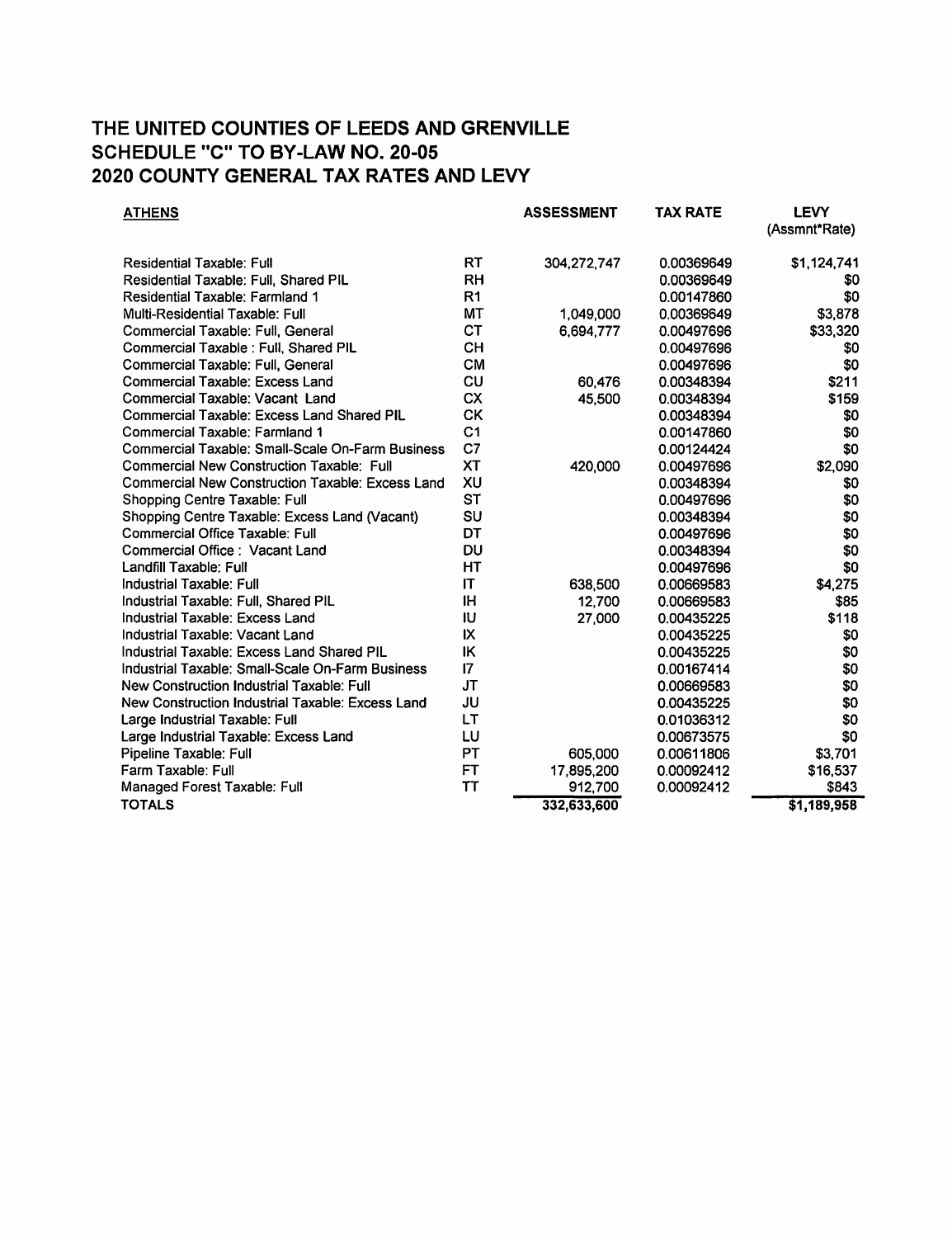| <b>ATHENS</b>                                           |                | <b>ASSESSMENT</b> | <b>TAX RATE</b> | <b>LEVY</b><br>(Assmnt*Rate) |
|---------------------------------------------------------|----------------|-------------------|-----------------|------------------------------|
| <b>Residential Taxable: Full</b>                        | <b>RT</b>      | 304,272,747       | 0.00369649      | \$1,124,741                  |
| Residential Taxable: Full, Shared PIL                   | <b>RH</b>      |                   | 0.00369649      | \$0                          |
| Residential Taxable: Farmland 1                         | R1             |                   | 0.00147860      | \$0                          |
| <b>Multi-Residential Taxable: Full</b>                  | <b>MT</b>      | 1,049,000         | 0.00369649      | \$3,878                      |
| Commercial Taxable: Full, General                       | <b>CT</b>      | 6,694,777         | 0.00497696      | \$33,320                     |
| Commercial Taxable : Full, Shared PIL                   | <b>CH</b>      |                   | 0.00497696      | \$0                          |
| Commercial Taxable: Full, General                       | <b>CM</b>      |                   | 0.00497696      | \$0                          |
| Commercial Taxable: Excess Land                         | CU             | 60,476            | 0.00348394      | \$211                        |
| Commercial Taxable: Vacant Land                         | <b>CX</b>      | 45,500            | 0.00348394      | \$159                        |
| Commercial Taxable: Excess Land Shared PIL              | <b>CK</b>      |                   | 0.00348394      | \$0                          |
| <b>Commercial Taxable: Farmland 1</b>                   | C <sub>1</sub> |                   | 0.00147860      | \$0                          |
| Commercial Taxable: Small-Scale On-Farm Business        | C <sub>7</sub> |                   | 0.00124424      | \$0                          |
| Commercial New Construction Taxable: Full               | <b>XT</b>      | 420,000           | 0.00497696      | \$2,090                      |
| <b>Commercial New Construction Taxable: Excess Land</b> | XU             |                   | 0.00348394      | \$0                          |
| Shopping Centre Taxable: Full                           | <b>ST</b>      |                   | 0.00497696      | \$0                          |
| Shopping Centre Taxable: Excess Land (Vacant)           | SU             |                   | 0.00348394      | \$0                          |
| <b>Commercial Office Taxable: Full</b>                  | DT             |                   | 0.00497696      | \$0                          |
| Commercial Office: Vacant Land                          | DU             |                   | 0.00348394      | \$0                          |
| Landfill Taxable: Full                                  | HT             |                   | 0.00497696      | \$0                          |
| Industrial Taxable: Full                                | $\mathsf{I}$   | 638,500           | 0.00669583      | \$4,275                      |
| Industrial Taxable: Full, Shared PIL                    | <b>IH</b>      | 12,700            | 0.00669583      | \$85                         |
| Industrial Taxable: Excess Land                         | IU             | 27,000            | 0.00435225      | \$118                        |
| Industrial Taxable: Vacant Land                         | IX             |                   | 0.00435225      | \$0                          |
| Industrial Taxable: Excess Land Shared PIL              | ΙK             |                   | 0.00435225      | \$0                          |
| Industrial Taxable: Small-Scale On-Farm Business        | 17             |                   | 0.00167414      | \$0                          |
| New Construction Industrial Taxable: Full               | <b>JT</b>      |                   | 0.00669583      | \$0                          |
| New Construction Industrial Taxable: Excess Land        | JU             |                   | 0.00435225      | \$0                          |
| Large Industrial Taxable: Full                          | LT             |                   | 0.01036312      | \$0                          |
| Large Industrial Taxable: Excess Land                   | LU             |                   | 0.00673575      | \$0                          |
| Pipeline Taxable: Full                                  | <b>PT</b>      | 605,000           | 0.00611806      | \$3,701                      |
| Farm Taxable: Full                                      | <b>FT</b>      | 17,895,200        | 0.00092412      | \$16,537                     |
| Managed Forest Taxable: Full                            | TT             | 912,700           | 0.00092412      | \$843                        |
| <b>TOTALS</b>                                           |                | 332,633,600       |                 | \$1,189,958                  |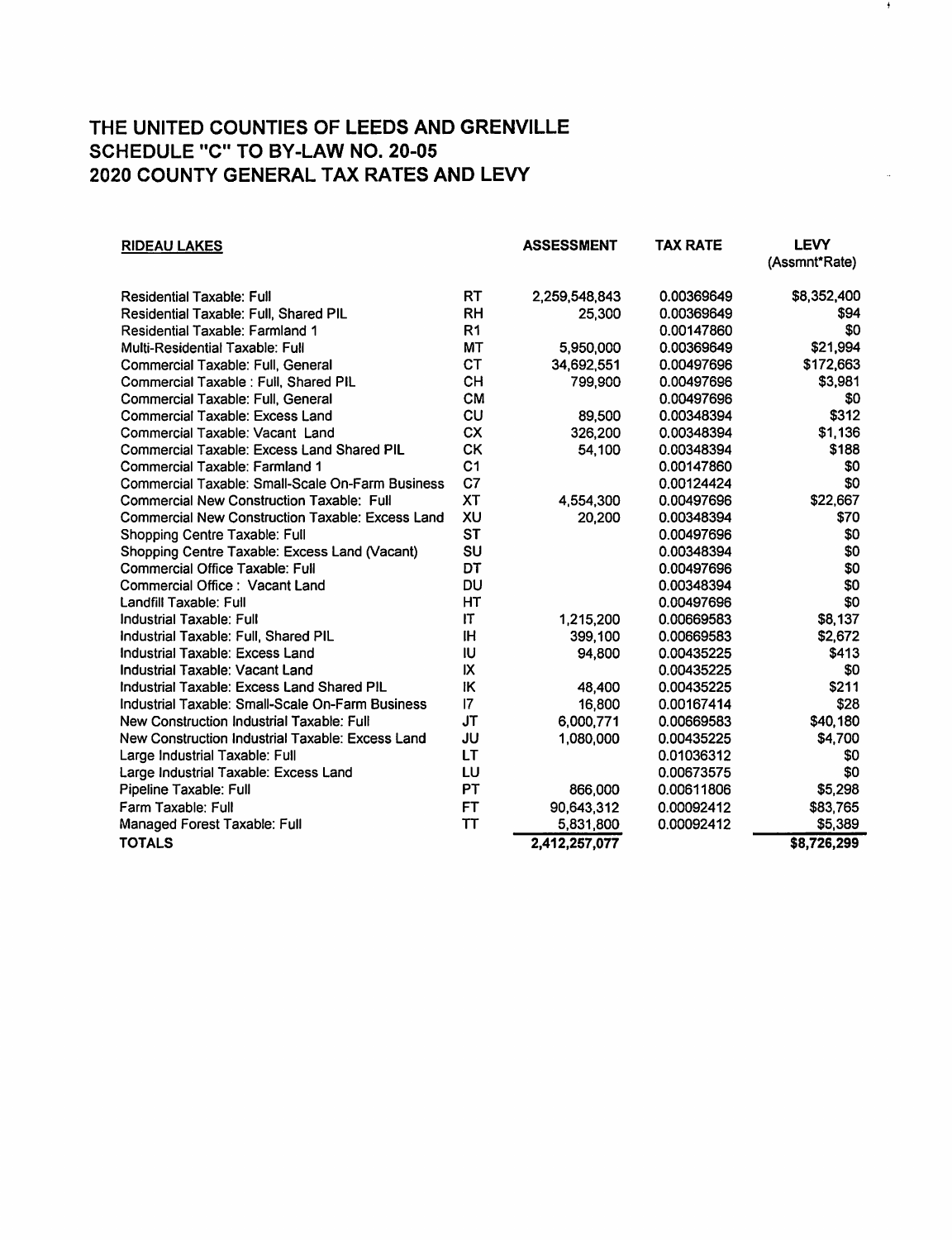| <b>RIDEAU LAKES</b>                                     |                | <b>ASSESSMENT</b> | TAX RATE   | <b>LEVY</b><br>(Assmnt*Rate) |
|---------------------------------------------------------|----------------|-------------------|------------|------------------------------|
| <b>Residential Taxable: Full</b>                        | RT             | 2,259,548,843     | 0.00369649 | \$8,352,400                  |
| Residential Taxable: Full, Shared PIL                   | <b>RH</b>      | 25,300            | 0.00369649 | \$94                         |
| Residential Taxable: Farmland 1                         | R <sub>1</sub> |                   | 0.00147860 | \$0                          |
| Multi-Residential Taxable: Full                         | МT             | 5,950,000         | 0.00369649 | \$21,994                     |
| Commercial Taxable: Full, General                       | <b>CT</b>      | 34,692,551        | 0.00497696 | \$172,663                    |
| Commercial Taxable : Full, Shared PIL                   | CH             | 799,900           | 0.00497696 | \$3,981                      |
| Commercial Taxable: Full, General                       | <b>CM</b>      |                   | 0.00497696 | \$0                          |
| <b>Commercial Taxable: Excess Land</b>                  | CU             | 89,500            | 0.00348394 | \$312                        |
| Commercial Taxable: Vacant Land                         | <b>CX</b>      | 326,200           | 0.00348394 | \$1,136                      |
| <b>Commercial Taxable: Excess Land Shared PIL</b>       | <b>CK</b>      | 54,100            | 0.00348394 | \$188                        |
| Commercial Taxable: Farmland 1                          | C <sub>1</sub> |                   | 0.00147860 | \$0                          |
| Commercial Taxable: Small-Scale On-Farm Business        | C7             |                   | 0.00124424 | \$0                          |
| <b>Commercial New Construction Taxable: Full</b>        | <b>XT</b>      | 4.554.300         | 0.00497696 | \$22,667                     |
| <b>Commercial New Construction Taxable: Excess Land</b> | XU             | 20,200            | 0.00348394 | \$70                         |
| Shopping Centre Taxable: Full                           | <b>ST</b>      |                   | 0.00497696 | \$0                          |
| Shopping Centre Taxable: Excess Land (Vacant)           | SU             |                   | 0.00348394 | \$0                          |
| Commercial Office Taxable: Full                         | DT             |                   | 0.00497696 | \$0                          |
| Commercial Office: Vacant Land                          | <b>DU</b>      |                   | 0.00348394 | \$0                          |
| Landfill Taxable: Full                                  | HΤ             |                   | 0.00497696 | \$0                          |
| Industrial Taxable: Full                                | IT             | 1,215,200         | 0.00669583 | \$8,137                      |
| Industrial Taxable: Full, Shared PIL                    | <b>IH</b>      | 399,100           | 0.00669583 | \$2,672                      |
| Industrial Taxable: Excess Land                         | IU             | 94,800            | 0.00435225 | \$413                        |
| Industrial Taxable: Vacant Land                         | IX             |                   | 0.00435225 | \$0                          |
| Industrial Taxable: Excess Land Shared PIL              | ΙK             | 48.400            | 0.00435225 | \$211                        |
| Industrial Taxable: Small-Scale On-Farm Business        | 7              | 16,800            | 0.00167414 | \$28                         |
| New Construction Industrial Taxable: Full               | <b>JT</b>      | 6,000,771         | 0.00669583 | \$40,180                     |
| New Construction Industrial Taxable: Excess Land        | JU             | 1,080,000         | 0.00435225 | \$4,700                      |
| Large Industrial Taxable: Full                          | LT             |                   | 0.01036312 | \$0                          |
| Large Industrial Taxable: Excess Land                   | LU             |                   | 0.00673575 | \$0                          |
| Pipeline Taxable: Full                                  | <b>PT</b>      | 866,000           | 0.00611806 | \$5,298                      |
| Farm Taxable: Full                                      | <b>FT</b>      | 90,643,312        | 0.00092412 | \$83,765                     |
| Managed Forest Taxable: Full                            | <b>TT</b>      | 5,831,800         | 0.00092412 | \$5,389                      |
| <b>TOTALS</b>                                           |                | 2,412,257,077     |            | \$8,726,299                  |